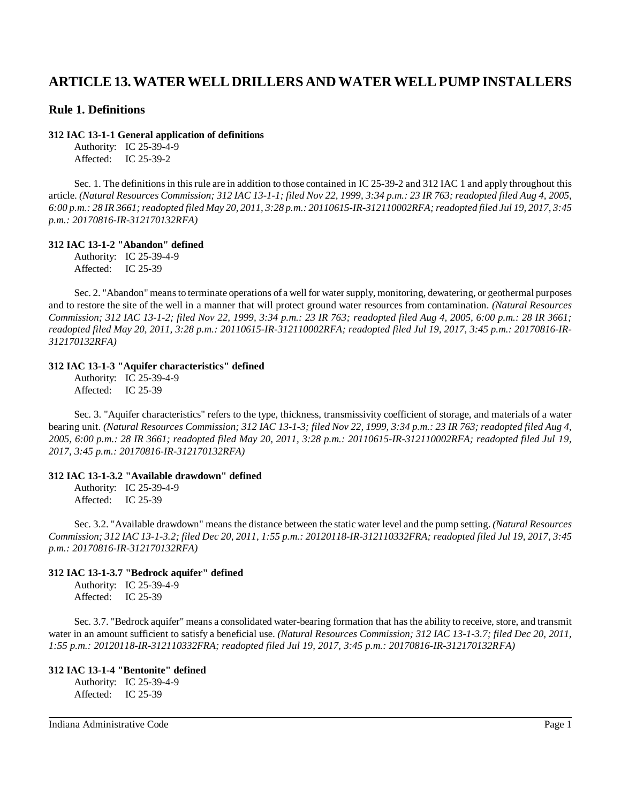# **ARTICLE 13. WATER WELL DRILLERS AND WATER WELL PUMP INSTALLERS**

# **Rule 1. Definitions**

#### **312 IAC 13-1-1 General application of definitions**

Authority: IC 25-39-4-9 Affected: IC 25-39-2

Sec. 1. The definitions in this rule are in addition to those contained in IC 25-39-2 and 312 IAC 1 and apply throughout this article. (Natural Resources Commission; 312 IAC 13-1-1; filed Nov 22, 1999, 3:34 p.m.: 23 IR 763; readopted filed Aug 4, 2005, 6:00 p.m.: 28 IR 3661; readopted filed May 20, 2011, 3:28 p.m.: 20110615-IR-312110002RFA; readopted filed Jul 19, 2017, 3:45 *p.m.: 20170816-IR-312170132RFA)*

#### **312 IAC 13-1-2 "Abandon" defined**

Authority: IC 25-39-4-9 Affected: IC 25-39

Sec. 2. "Abandon" meansto terminate operations of a well for watersupply, monitoring, dewatering, or geothermal purposes and to restore the site of the well in a manner that will protect ground water resources from contamination. *(Natural Resources Commission; 312 IAC 13-1-2; filed Nov 22, 1999, 3:34 p.m.: 23 IR 763; readopted filed Aug 4, 2005, 6:00 p.m.: 28 IR 3661; readopted filed May 20, 2011, 3:28 p.m.: 20110615-IR-312110002RFA; readopted filed Jul 19, 2017, 3:45 p.m.: 20170816-IR-312170132RFA)*

### **312 IAC 13-1-3 "Aquifer characteristics" defined**

Authority: IC 25-39-4-9 Affected: IC 25-39

Sec. 3. "Aquifer characteristics" refers to the type, thickness, transmissivity coefficient of storage, and materials of a water bearing unit. (Natural Resources Commission; 312 IAC 13-1-3; filed Nov 22, 1999, 3:34 p.m.: 23 IR 763; readopted filed Aug 4, 2005, 6:00 p.m.: 28 IR 3661; readopted filed May 20, 2011, 3:28 p.m.: 20110615-IR-312110002RFA; readopted filed Jul 19, *2017, 3:45 p.m.: 20170816-IR-312170132RFA)*

#### **312 IAC 13-1-3.2 "Available drawdown" defined**

Authority: IC 25-39-4-9 Affected: IC 25-39

Sec. 3.2. "Available drawdown" means the distance between the static water level and the pump setting. *(Natural Resources* Commission; 312 IAC 13-1-3.2; filed Dec 20, 2011, 1:55 p.m.: 20120118-IR-312110332FRA; readopted filed Jul 19, 2017, 3:45 *p.m.: 20170816-IR-312170132RFA)*

#### **312 IAC 13-1-3.7 "Bedrock aquifer" defined**

Authority: IC 25-39-4-9 Affected: IC 25-39

Sec. 3.7. "Bedrock aquifer" means a consolidated water-bearing formation that has the ability to receive, store, and transmit water in an amount sufficient to satisfy a beneficial use. *(Natural Resources Commission; 312 IAC 13-1-3.7; filed Dec 20, 2011, 1:55 p.m.: 20120118-IR-312110332FRA; readopted filed Jul 19, 2017, 3:45 p.m.: 20170816-IR-312170132RFA)*

# **312 IAC 13-1-4 "Bentonite" defined**

Authority: IC 25-39-4-9 Affected: IC 25-39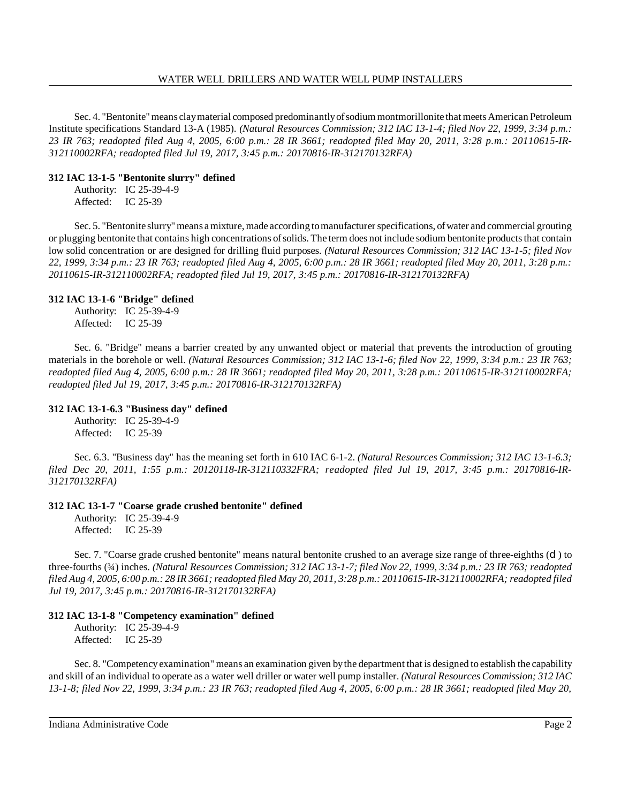Sec. 4. "Bentonite" means clay material composed predominantly of sodium montmorillonite that meets American Petroleum Institute specifications Standard 13-A (1985). *(Natural Resources Commission; 312 IAC 13-1-4; filed Nov 22, 1999, 3:34 p.m.:* 23 IR 763; readopted filed Aug 4, 2005, 6:00 p.m.: 28 IR 3661; readopted filed May 20, 2011, 3:28 p.m.: 20110615-IR-*312110002RFA; readopted filed Jul 19, 2017, 3:45 p.m.: 20170816-IR-312170132RFA)*

# **312 IAC 13-1-5 "Bentonite slurry" defined**

Authority: IC 25-39-4-9 Affected: IC 25-39

Sec. 5. "Bentonite slurry"means amixture, made according to manufacturer specifications, of water and commercial grouting or plugging bentonite that contains high concentrations of solids. The term does not include sodium bentonite products that contain low solid concentration or are designed for drilling fluid purposes. *(Natural Resources Commission; 312 IAC 13-1-5; filed Nov 22, 1999, 3:34 p.m.: 23 IR 763; readopted filed Aug 4, 2005, 6:00 p.m.: 28 IR 3661; readopted filed May 20, 2011, 3:28 p.m.: 20110615-IR-312110002RFA; readopted filed Jul 19, 2017, 3:45 p.m.: 20170816-IR-312170132RFA)*

# **312 IAC 13-1-6 "Bridge" defined**

Authority: IC 25-39-4-9 Affected: IC 25-39

Sec. 6. "Bridge" means a barrier created by any unwanted object or material that prevents the introduction of grouting materials in the borehole or well. *(Natural Resources Commission; 312 IAC 13-1-6; filed Nov 22, 1999, 3:34 p.m.: 23 IR 763;* readopted filed Aug 4, 2005, 6:00 p.m.: 28 IR 3661; readopted filed May 20, 2011, 3:28 p.m.: 20110615-IR-312110002RFA; *readopted filed Jul 19, 2017, 3:45 p.m.: 20170816-IR-312170132RFA)*

# **312 IAC 13-1-6.3 "Business day" defined**

Authority: IC 25-39-4-9 Affected: IC 25-39

Sec. 6.3. "Business day" has the meaning set forth in 610 IAC 6-1-2. *(Natural Resources Commission; 312 IAC 13-1-6.3; filed Dec 20, 2011, 1:55 p.m.: 20120118-IR-312110332FRA; readopted filed Jul 19, 2017, 3:45 p.m.: 20170816-IR-312170132RFA)*

# **312 IAC 13-1-7 "Coarse grade crushed bentonite" defined**

Authority: IC 25-39-4-9 Affected: IC 25-39

Sec. 7. "Coarse grade crushed bentonite" means natural bentonite crushed to an average size range of three-eighths (d) to three-fourths (34) inches. (Natural Resources Commission; 312 IAC 13-1-7; filed Nov 22, 1999, 3:34 p.m.: 23 IR 763; readopted filed Aug 4, 2005, 6:00 p.m.: 28 IR 3661; readopted filed May 20, 2011, 3:28 p.m.: 20110615-IR-312110002RFA; readopted filed *Jul 19, 2017, 3:45 p.m.: 20170816-IR-312170132RFA)*

# **312 IAC 13-1-8 "Competency examination" defined**

Authority: IC 25-39-4-9 Affected: IC 25-39

Sec. 8. "Competencyexamination" means an examination given bythe department that is designed to establish the capability and skill of an individual to operate as a water well driller or water well pump installer. *(Natural Resources Commission; 312 IAC 13-1-8; filed Nov 22, 1999, 3:34 p.m.: 23 IR 763; readopted filed Aug 4, 2005, 6:00 p.m.: 28 IR 3661; readopted filed May 20,*

Indiana Administrative Code Page 2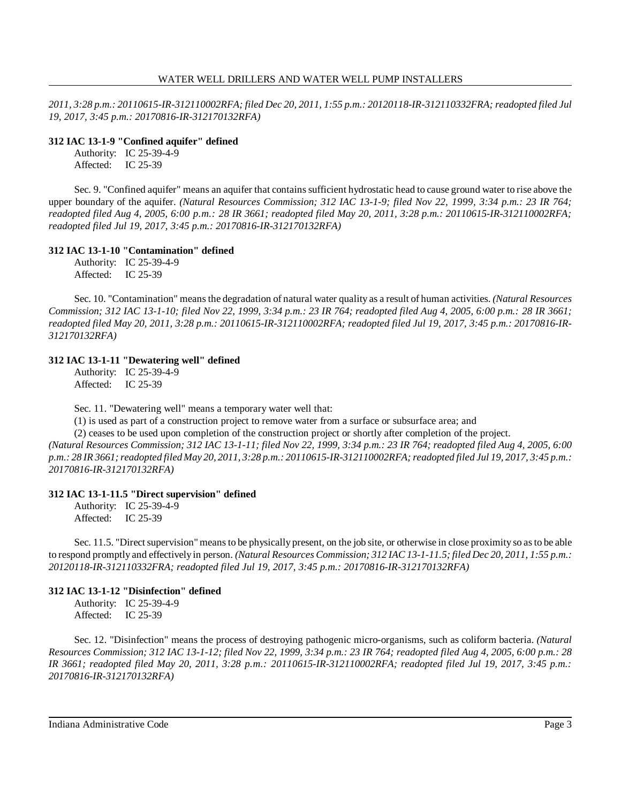*2011, 3:28 p.m.: 20110615-IR-312110002RFA; filed Dec 20, 2011, 1:55 p.m.: 20120118-IR-312110332FRA; readopted filed Jul 19, 2017, 3:45 p.m.: 20170816-IR-312170132RFA)*

#### **312 IAC 13-1-9 "Confined aquifer" defined**

Authority: IC 25-39-4-9 Affected: IC 25-39

Sec. 9. "Confined aquifer" means an aquifer that contains sufficient hydrostatic head to cause ground water to rise above the upper boundary of the aquifer. *(Natural Resources Commission; 312 IAC 13-1-9; filed Nov 22, 1999, 3:34 p.m.: 23 IR 764; readopted filed Aug 4, 2005, 6:00 p.m.: 28 IR 3661; readopted filed May 20, 2011, 3:28 p.m.: 20110615-IR-312110002RFA; readopted filed Jul 19, 2017, 3:45 p.m.: 20170816-IR-312170132RFA)*

### **312 IAC 13-1-10 "Contamination" defined**

Authority: IC 25-39-4-9 Affected: IC 25-39

Sec. 10. "Contamination" meansthe degradation of natural water quality as a result of human activities. *(Natural Resources Commission; 312 IAC 13-1-10; filed Nov 22, 1999, 3:34 p.m.: 23 IR 764; readopted filed Aug 4, 2005, 6:00 p.m.: 28 IR 3661; readopted filed May 20, 2011, 3:28 p.m.: 20110615-IR-312110002RFA; readopted filed Jul 19, 2017, 3:45 p.m.: 20170816-IR-312170132RFA)*

### **312 IAC 13-1-11 "Dewatering well" defined**

Authority: IC 25-39-4-9 Affected: IC 25-39

Sec. 11. "Dewatering well" means a temporary water well that:

(1) is used as part of a construction project to remove water from a surface or subsurface area; and

(2) ceases to be used upon completion of the construction project or shortly after completion of the project.

(Natural Resources Commission; 312 IAC 13-1-11; filed Nov 22, 1999, 3:34 p.m.: 23 IR 764; readopted filed Aug 4, 2005, 6:00 p.m.: 28 IR 3661; readopted filed May 20, 2011, 3:28 p.m.: 20110615-IR-312110002RFA; readopted filed Jul 19, 2017, 3:45 p.m.: *20170816-IR-312170132RFA)*

#### **312 IAC 13-1-11.5 "Direct supervision" defined**

Authority: IC 25-39-4-9 Affected: IC 25-39

Sec. 11.5. "Direct supervision" means to be physically present, on the job site, or otherwise in close proximity so as to be able to respond promptly and effectively in person. *(Natural Resources Commission; 312 IAC 13-1-11.5; filed Dec 20, 2011, 1:55 p.m.: 20120118-IR-312110332FRA; readopted filed Jul 19, 2017, 3:45 p.m.: 20170816-IR-312170132RFA)*

# **312 IAC 13-1-12 "Disinfection" defined**

Authority: IC 25-39-4-9 Affected: IC 25-39

Sec. 12. "Disinfection" means the process of destroying pathogenic micro-organisms, such as coliform bacteria. *(Natural* Resources Commission; 312 IAC 13-1-12; filed Nov 22, 1999, 3:34 p.m.: 23 IR 764; readopted filed Aug 4, 2005, 6:00 p.m.: 28 *IR 3661; readopted filed May 20, 2011, 3:28 p.m.: 20110615-IR-312110002RFA; readopted filed Jul 19, 2017, 3:45 p.m.: 20170816-IR-312170132RFA)*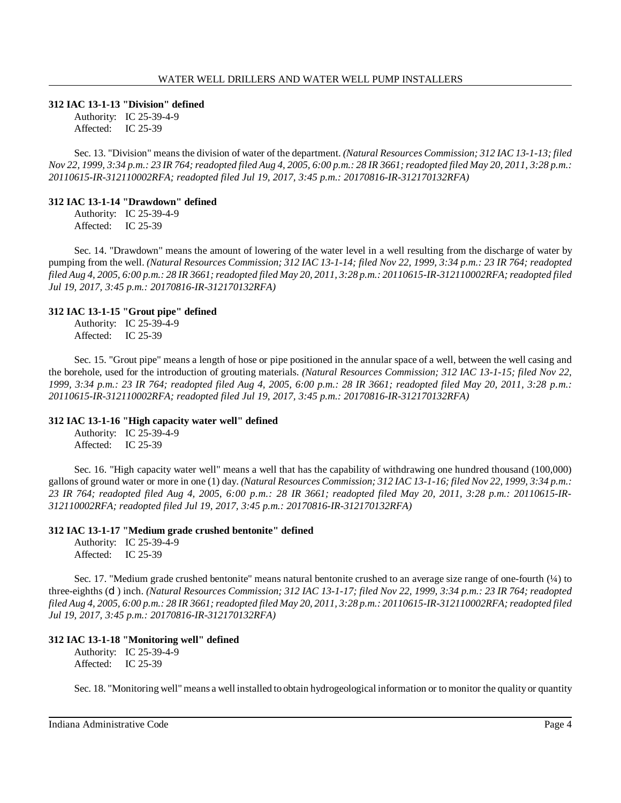#### **312 IAC 13-1-13 "Division" defined**

Authority: IC 25-39-4-9 Affected: IC 25-39

Sec. 13. "Division" means the division of water of the department. *(Natural Resources Commission; 312 IAC 13-1-13; filed* Nov 22, 1999, 3:34 p.m.: 23 IR 764; readopted filed Aug 4, 2005, 6:00 p.m.: 28 IR 3661; readopted filed May 20, 2011, 3:28 p.m.: *20110615-IR-312110002RFA; readopted filed Jul 19, 2017, 3:45 p.m.: 20170816-IR-312170132RFA)*

#### **312 IAC 13-1-14 "Drawdown" defined**

Authority: IC 25-39-4-9 Affected: IC 25-39

Sec. 14. "Drawdown" means the amount of lowering of the water level in a well resulting from the discharge of water by pumping from the well. (Natural Resources Commission; 312 IAC 13-1-14; filed Nov 22, 1999, 3:34 p.m.: 23 IR 764; readopted filed Aug 4, 2005, 6:00 p.m.: 28 IR 3661; readopted filed May 20, 2011, 3:28 p.m.: 20110615-IR-312110002RFA; readopted filed *Jul 19, 2017, 3:45 p.m.: 20170816-IR-312170132RFA)*

### **312 IAC 13-1-15 "Grout pipe" defined**

Authority: IC 25-39-4-9 Affected: IC 25-39

Sec. 15. "Grout pipe" means a length of hose or pipe positioned in the annular space of a well, between the well casing and the borehole, used for the introduction of grouting materials. *(Natural Resources Commission; 312 IAC 13-1-15; filed Nov 22,* 1999, 3:34 p.m.: 23 IR 764; readopted filed Aug 4, 2005, 6:00 p.m.: 28 IR 3661; readopted filed May 20, 2011, 3:28 p.m.: *20110615-IR-312110002RFA; readopted filed Jul 19, 2017, 3:45 p.m.: 20170816-IR-312170132RFA)*

# **312 IAC 13-1-16 "High capacity water well" defined**

Authority: IC 25-39-4-9 Affected: IC 25-39

Sec. 16. "High capacity water well" means a well that has the capability of withdrawing one hundred thousand (100,000) gallons of ground water or more in one (1) day. *(Natural Resources Commission; 312 IAC 13-1-16; filed Nov 22, 1999, 3:34 p.m.: 23 IR 764; readopted filed Aug 4, 2005, 6:00 p.m.: 28 IR 3661; readopted filed May 20, 2011, 3:28 p.m.: 20110615-IR-312110002RFA; readopted filed Jul 19, 2017, 3:45 p.m.: 20170816-IR-312170132RFA)*

#### **312 IAC 13-1-17 "Medium grade crushed bentonite" defined**

Authority: IC 25-39-4-9 Affected: IC 25-39

Sec. 17. "Medium grade crushed bentonite" means natural bentonite crushed to an average size range of one-fourth (¼) to three-eighths (C) inch. (Natural Resources Commission; 312 IAC 13-1-17; filed Nov 22, 1999, 3:34 p.m.: 23 IR 764; readopted filed Aug 4, 2005, 6:00 p.m.: 28 IR 3661; readopted filed May 20, 2011, 3:28 p.m.: 20110615-IR-312110002RFA; readopted filed *Jul 19, 2017, 3:45 p.m.: 20170816-IR-312170132RFA)*

# **312 IAC 13-1-18 "Monitoring well" defined**

Authority: IC 25-39-4-9 Affected: IC 25-39

Sec. 18. "Monitoring well" means a well installed to obtain hydrogeological information or to monitor the quality or quantity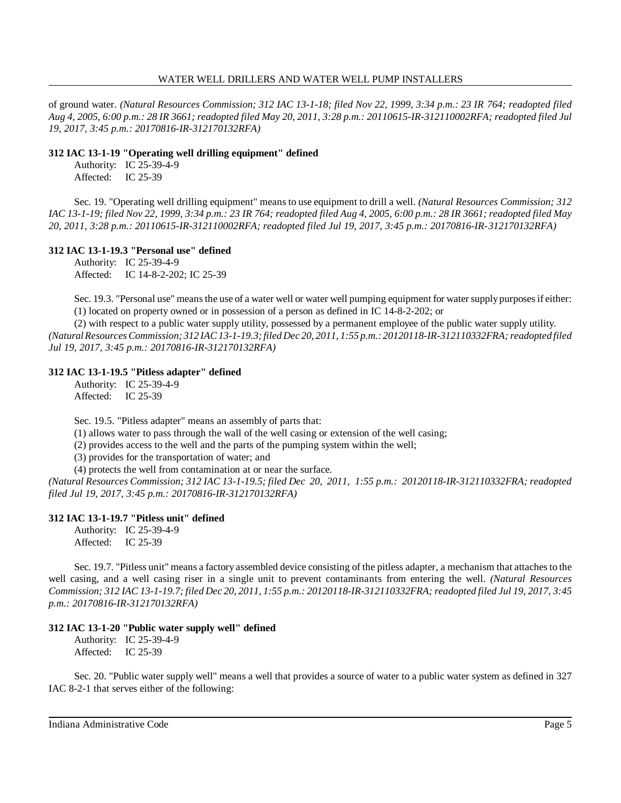of ground water. *(Natural Resources Commission; 312 IAC 13-1-18; filed Nov 22, 1999, 3:34 p.m.: 23 IR 764; readopted filed* Aug 4, 2005, 6:00 p.m.: 28 IR 3661; readopted filed May 20, 2011, 3:28 p.m.: 20110615-IR-312110002RFA; readopted filed Jul *19, 2017, 3:45 p.m.: 20170816-IR-312170132RFA)*

# **312 IAC 13-1-19 "Operating well drilling equipment" defined**

Authority: IC 25-39-4-9 Affected: IC 25-39

Sec. 19. "Operating well drilling equipment" means to use equipment to drill a well. *(Natural Resources Commission; 312* IAC 13-1-19; filed Nov 22, 1999, 3:34 p.m.: 23 IR 764; readopted filed Aug 4, 2005, 6:00 p.m.: 28 IR 3661; readopted filed May *20, 2011, 3:28 p.m.: 20110615-IR-312110002RFA; readopted filed Jul 19, 2017, 3:45 p.m.: 20170816-IR-312170132RFA)*

# **312 IAC 13-1-19.3 "Personal use" defined**

Authority: IC 25-39-4-9 Affected: IC 14-8-2-202; IC 25-39

Sec. 19.3. "Personal use" means the use of a water well or water well pumping equipment for water supply purposes if either: (1) located on property owned or in possession of a person as defined in IC 14-8-2-202; or

(2) with respect to a public water supply utility, possessed by a permanent employee of the public water supply utility. *(Natural Resources Commission; 312 IAC 13-1-19.3; filed Dec 20, 2011, 1:55 p.m.: 20120118-IR-312110332FRA; readopted filed Jul 19, 2017, 3:45 p.m.: 20170816-IR-312170132RFA)*

# **312 IAC 13-1-19.5 "Pitless adapter" defined**

Authority: IC 25-39-4-9 Affected: IC 25-39

Sec. 19.5. "Pitless adapter" means an assembly of parts that:

(1) allows water to pass through the wall of the well casing or extension of the well casing;

(2) provides access to the well and the parts of the pumping system within the well;

(3) provides for the transportation of water; and

(4) protects the well from contamination at or near the surface.

*(Natural Resources Commission; 312 IAC 13-1-19.5; filed Dec 20, 2011, 1:55 p.m.: 20120118-IR-312110332FRA; readopted filed Jul 19, 2017, 3:45 p.m.: 20170816-IR-312170132RFA)*

# **312 IAC 13-1-19.7 "Pitless unit" defined**

Authority: IC 25-39-4-9 Affected: IC 25-39

Sec. 19.7. "Pitless unit" means a factory assembled device consisting of the pitless adapter, a mechanism that attaches to the well casing, and a well casing riser in a single unit to prevent contaminants from entering the well. *(Natural Resources* Commission; 312 IAC 13-1-19.7; filed Dec 20, 2011, 1:55 p.m.: 20120118-IR-312110332FRA; readopted filed Jul 19, 2017, 3:45 *p.m.: 20170816-IR-312170132RFA)*

# **312 IAC 13-1-20 "Public water supply well" defined**

Authority: IC 25-39-4-9 Affected: IC 25-39

Sec. 20. "Public water supply well" means a well that provides a source of water to a public water system as defined in 327 IAC 8-2-1 that serves either of the following:

Indiana Administrative Code **Page 5** Page 5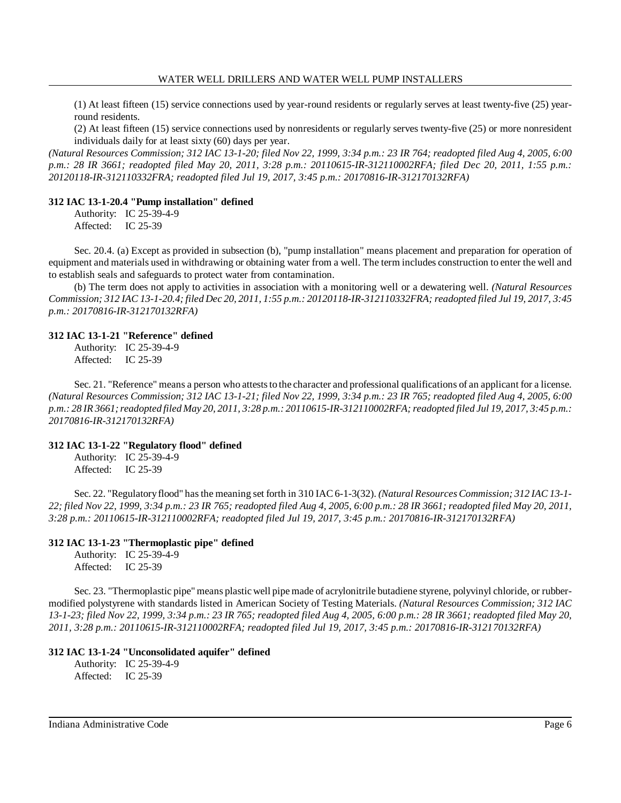(1) At least fifteen (15) service connections used by year-round residents or regularly serves at least twenty-five (25) yearround residents.

(2) At least fifteen (15) service connections used by nonresidents or regularly serves twenty-five (25) or more nonresident individuals daily for at least sixty (60) days per year.

(Natural Resources Commission; 312 IAC 13-1-20; filed Nov 22, 1999, 3:34 p.m.: 23 IR 764; readopted filed Aug 4, 2005, 6:00 *p.m.: 28 IR 3661; readopted filed May 20, 2011, 3:28 p.m.: 20110615-IR-312110002RFA; filed Dec 20, 2011, 1:55 p.m.: 20120118-IR-312110332FRA; readopted filed Jul 19, 2017, 3:45 p.m.: 20170816-IR-312170132RFA)*

### **312 IAC 13-1-20.4 "Pump installation" defined**

Authority: IC 25-39-4-9 Affected: IC 25-39

Sec. 20.4. (a) Except as provided in subsection (b), "pump installation" means placement and preparation for operation of equipment and materials used in withdrawing or obtaining water from a well. The term includes construction to enter the well and to establish seals and safeguards to protect water from contamination.

(b) The term does not apply to activities in association with a monitoring well or a dewatering well. *(Natural Resources* Commission; 312 IAC 13-1-20.4; filed Dec 20, 2011, 1:55 p.m.: 20120118-IR-312110332FRA; readopted filed Jul 19, 2017, 3:45 *p.m.: 20170816-IR-312170132RFA)*

### **312 IAC 13-1-21 "Reference" defined**

Authority: IC 25-39-4-9 Affected: IC 25-39

Sec. 21. "Reference" means a person who attests to the character and professional qualifications of an applicant for a license. (Natural Resources Commission; 312 IAC 13-1-21; filed Nov 22, 1999, 3:34 p.m.: 23 IR 765; readopted filed Aug 4, 2005, 6:00 p.m.: 28 IR 3661; readopted filed May 20, 2011, 3:28 p.m.: 20110615-IR-312110002RFA; readopted filed Jul 19, 2017, 3:45 p.m.: *20170816-IR-312170132RFA)*

# **312 IAC 13-1-22 "Regulatory flood" defined**

Authority: IC 25-39-4-9 Affected: IC 25-39

Sec. 22. "Regulatoryflood" hasthe meaning set forth in 310 IAC 6-1-3(32). *(Natural ResourcesCommission; 312 IAC 13-1-* 22; filed Nov 22, 1999, 3:34 p.m.: 23 IR 765; readopted filed Aug 4, 2005, 6:00 p.m.: 28 IR 3661; readopted filed May 20, 2011, *3:28 p.m.: 20110615-IR-312110002RFA; readopted filed Jul 19, 2017, 3:45 p.m.: 20170816-IR-312170132RFA)*

# **312 IAC 13-1-23 "Thermoplastic pipe" defined**

Authority: IC 25-39-4-9 Affected: IC 25-39

Sec. 23. "Thermoplastic pipe" means plastic well pipe made of acrylonitrile butadiene styrene, polyvinyl chloride, or rubbermodified polystyrene with standards listed in American Society of Testing Materials. *(Natural Resources Commission; 312 IAC* 13-1-23; filed Nov 22, 1999, 3:34 p.m.: 23 IR 765; readopted filed Aug 4, 2005, 6:00 p.m.: 28 IR 3661; readopted filed May 20, *2011, 3:28 p.m.: 20110615-IR-312110002RFA; readopted filed Jul 19, 2017, 3:45 p.m.: 20170816-IR-312170132RFA)*

# **312 IAC 13-1-24 "Unconsolidated aquifer" defined**

Authority: IC 25-39-4-9 Affected: IC 25-39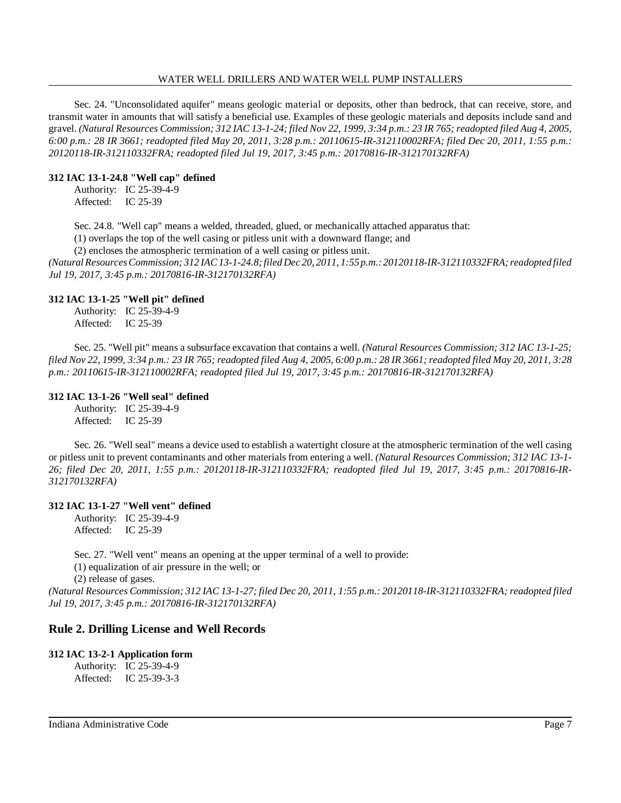Sec. 24. "Unconsolidated aquifer" means geologic material or deposits, other than bedrock, that can receive, store, and transmit water in amounts that will satisfy a beneficial use. Examples of these geologic materials and deposits include sand and gravel. (Natural Resources Commission; 312 IAC 13-1-24; filed Nov 22, 1999, 3:34 p.m.: 23 IR 765; readopted filed Aug 4, 2005, *6:00 p.m.: 28 IR 3661; readopted filed May 20, 2011, 3:28 p.m.: 20110615-IR-312110002RFA; filed Dec 20, 2011, 1:55 p.m.: 20120118-IR-312110332FRA; readopted filed Jul 19, 2017, 3:45 p.m.: 20170816-IR-312170132RFA)*

### **312 IAC 13-1-24.8 "Well cap" defined**

Authority: IC 25-39-4-9 Affected: IC 25-39

Sec. 24.8. "Well cap" means a welded, threaded, glued, or mechanically attached apparatus that:

(1) overlaps the top of the well casing or pitless unit with a downward flange; and

(2) encloses the atmospheric termination of a well casing or pitless unit.

*(Natural ResourcesCommission; 312 IAC13-1-24.8;filed Dec 20, 2011, 1:55 p.m.: 20120118-IR-312110332FRA; readopted filed Jul 19, 2017, 3:45 p.m.: 20170816-IR-312170132RFA)*

### **312 IAC 13-1-25 "Well pit" defined**

Authority: IC 25-39-4-9 Affected: IC 25-39

Sec. 25. "Well pit" means a subsurface excavation that contains a well. *(Natural Resources Commission; 312 IAC 13-1-25;* filed Nov 22, 1999, 3:34 p.m.: 23 IR 765; readopted filed Aug 4, 2005, 6:00 p.m.: 28 IR 3661; readopted filed May 20, 2011, 3:28 *p.m.: 20110615-IR-312110002RFA; readopted filed Jul 19, 2017, 3:45 p.m.: 20170816-IR-312170132RFA)*

### **312 IAC 13-1-26 "Well seal" defined**

Authority: IC 25-39-4-9 Affected: IC 25-39

Sec. 26. "Well seal" means a device used to establish a watertight closure at the atmospheric termination of the well casing or pitless unit to prevent contaminants and other materials from entering a well. *(Natural Resources Commission; 312 IAC 13-1- 26; filed Dec 20, 2011, 1:55 p.m.: 20120118-IR-312110332FRA; readopted filed Jul 19, 2017, 3:45 p.m.: 20170816-IR-312170132RFA)*

#### **312 IAC 13-1-27 "Well vent" defined**

Authority: IC 25-39-4-9 Affected: IC 25-39

Sec. 27. "Well vent" means an opening at the upper terminal of a well to provide:

(1) equalization of air pressure in the well; or

(2) release of gases.

(Natural Resources Commission; 312 IAC 13-1-27; filed Dec 20, 2011, 1:55 p.m.: 20120118-IR-312110332FRA; readopted filed *Jul 19, 2017, 3:45 p.m.: 20170816-IR-312170132RFA)*

# **Rule 2. Drilling License and Well Records**

#### **312 IAC 13-2-1 Application form**

Authority: IC 25-39-4-9 Affected: IC 25-39-3-3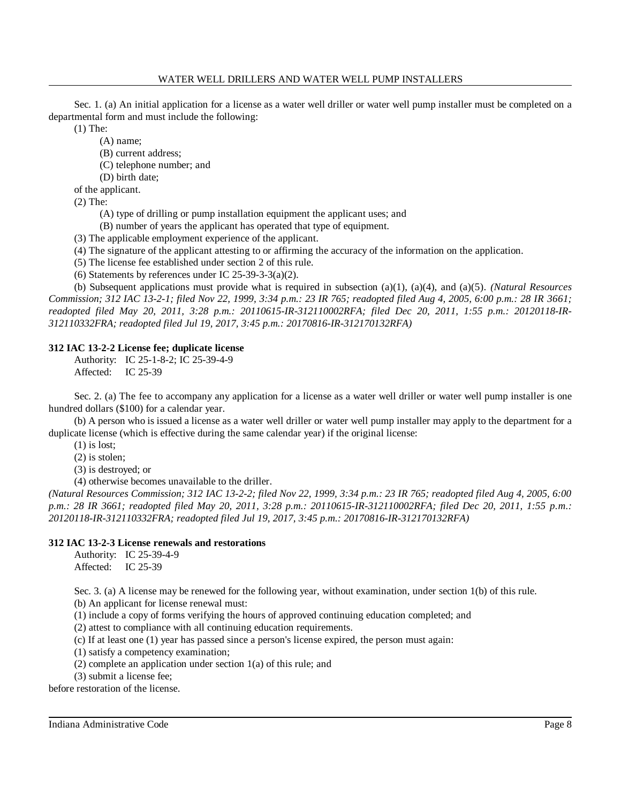Sec. 1. (a) An initial application for a license as a water well driller or water well pump installer must be completed on a departmental form and must include the following:

(1) The:

(A) name;

- (B) current address;
- (C) telephone number; and

(D) birth date;

of the applicant.

(2) The:

- (A) type of drilling or pump installation equipment the applicant uses; and
- (B) number of years the applicant has operated that type of equipment.
- (3) The applicable employment experience of the applicant.
- (4) The signature of the applicant attesting to or affirming the accuracy of the information on the application.
- (5) The license fee established under section 2 of this rule.
- (6) Statements by references under IC  $25-39-3-3(a)(2)$ .

(b) Subsequent applications must provide what is required in subsection (a)(1), (a)(4), and (a)(5). *(Natural Resources* Commission; 312 IAC 13-2-1; filed Nov 22, 1999, 3:34 p.m.: 23 IR 765; readopted filed Aug 4, 2005, 6:00 p.m.: 28 IR 3661; *readopted filed May 20, 2011, 3:28 p.m.: 20110615-IR-312110002RFA; filed Dec 20, 2011, 1:55 p.m.: 20120118-IR-312110332FRA; readopted filed Jul 19, 2017, 3:45 p.m.: 20170816-IR-312170132RFA)*

# **312 IAC 13-2-2 License fee; duplicate license**

Authority: IC 25-1-8-2; IC 25-39-4-9 Affected: IC 25-39

Sec. 2. (a) The fee to accompany any application for a license as a water well driller or water well pump installer is one hundred dollars (\$100) for a calendar year.

(b) A person who is issued a license as a water well driller or water well pump installer may apply to the department for a duplicate license (which is effective during the same calendar year) if the original license:

- (1) is lost;
- (2) is stolen;

(3) is destroyed; or

(4) otherwise becomes unavailable to the driller.

*(Natural Resources Commission; 312 IAC 13-2-2; filed Nov 22, 1999, 3:34 p.m.: 23 IR 765; readopted filed Aug 4, 2005, 6:00* p.m.: 28 IR 3661; readopted filed May 20, 2011, 3:28 p.m.: 20110615-IR-312110002RFA; filed Dec 20, 2011, 1:55 p.m.: *20120118-IR-312110332FRA; readopted filed Jul 19, 2017, 3:45 p.m.: 20170816-IR-312170132RFA)*

# **312 IAC 13-2-3 License renewals and restorations**

Authority: IC 25-39-4-9 Affected: IC 25-39

Sec. 3. (a) A license may be renewed for the following year, without examination, under section 1(b) of this rule.

(b) An applicant for license renewal must:

(1) include a copy of forms verifying the hours of approved continuing education completed; and

(2) attest to compliance with all continuing education requirements.

(c) If at least one (1) year has passed since a person's license expired, the person must again:

(1) satisfy a competency examination;

- (2) complete an application under section 1(a) of this rule; and
- (3) submit a license fee;

before restoration of the license.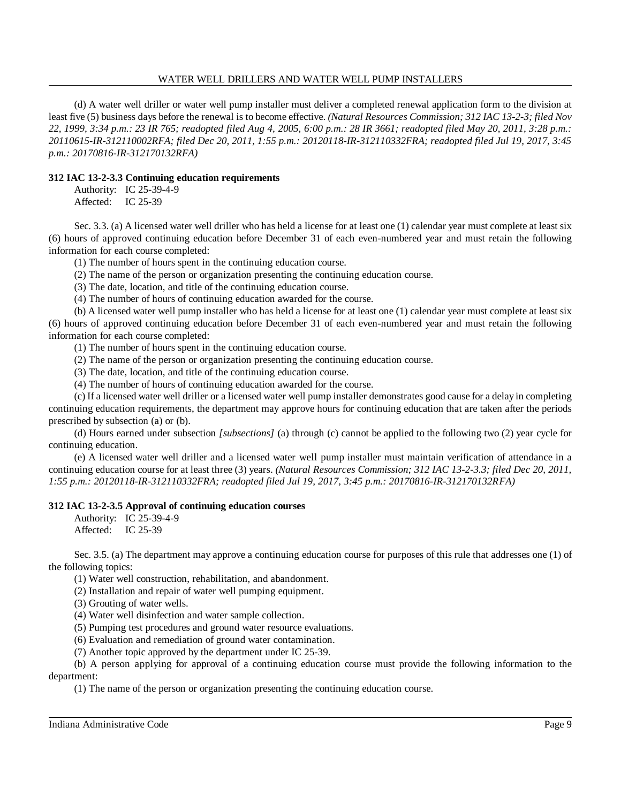(d) A water well driller or water well pump installer must deliver a completed renewal application form to the division at least five (5) business days before the renewal is to become effective. *(Natural Resources Commission; 312 IAC 13-2-3; filed Nov 22, 1999, 3:34 p.m.: 23 IR 765; readopted filed Aug 4, 2005, 6:00 p.m.: 28 IR 3661; readopted filed May 20, 2011, 3:28 p.m.: 20110615-IR-312110002RFA; filed Dec 20, 2011, 1:55 p.m.: 20120118-IR-312110332FRA; readopted filed Jul 19, 2017, 3:45 p.m.: 20170816-IR-312170132RFA)*

# **312 IAC 13-2-3.3 Continuing education requirements**

Authority: IC 25-39-4-9 Affected: IC 25-39

Sec. 3.3. (a) A licensed water well driller who has held a license for at least one (1) calendar year must complete at least six (6) hours of approved continuing education before December 31 of each even-numbered year and must retain the following information for each course completed:

(1) The number of hours spent in the continuing education course.

(2) The name of the person or organization presenting the continuing education course.

(3) The date, location, and title of the continuing education course.

(4) The number of hours of continuing education awarded for the course.

(b) A licensed water well pump installer who has held a license for at least one (1) calendar year must complete at least six (6) hours of approved continuing education before December 31 of each even-numbered year and must retain the following information for each course completed:

(1) The number of hours spent in the continuing education course.

(2) The name of the person or organization presenting the continuing education course.

(3) The date, location, and title of the continuing education course.

(4) The number of hours of continuing education awarded for the course.

(c) If a licensed water well driller or a licensed water well pump installer demonstrates good cause for a delay in completing continuing education requirements, the department may approve hours for continuing education that are taken after the periods prescribed by subsection (a) or (b).

(d) Hours earned under subsection *[subsections]* (a) through (c) cannot be applied to the following two (2) year cycle for continuing education.

(e) A licensed water well driller and a licensed water well pump installer must maintain verification of attendance in a continuing education course for at least three (3) years. *(Natural Resources Commission; 312 IAC 13-2-3.3; filed Dec 20, 2011, 1:55 p.m.: 20120118-IR-312110332FRA; readopted filed Jul 19, 2017, 3:45 p.m.: 20170816-IR-312170132RFA)*

# **312 IAC 13-2-3.5 Approval of continuing education courses**

Authority: IC 25-39-4-9 Affected: IC 25-39

Sec. 3.5. (a) The department may approve a continuing education course for purposes of this rule that addresses one (1) of the following topics:

(1) Water well construction, rehabilitation, and abandonment.

(2) Installation and repair of water well pumping equipment.

(3) Grouting of water wells.

(4) Water well disinfection and water sample collection.

(5) Pumping test procedures and ground water resource evaluations.

(6) Evaluation and remediation of ground water contamination.

(7) Another topic approved by the department under IC 25-39.

(b) A person applying for approval of a continuing education course must provide the following information to the department:

(1) The name of the person or organization presenting the continuing education course.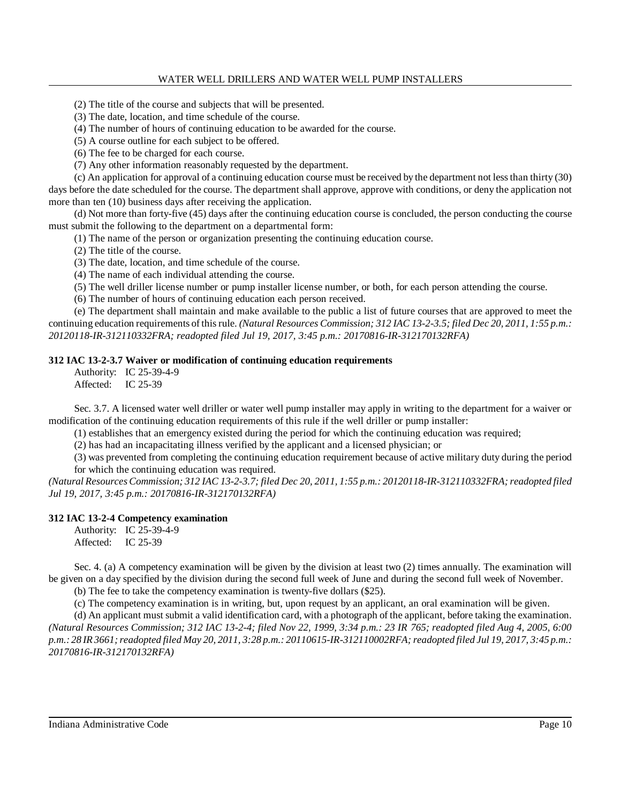(2) The title of the course and subjects that will be presented.

(3) The date, location, and time schedule of the course.

(4) The number of hours of continuing education to be awarded for the course.

(5) A course outline for each subject to be offered.

(6) The fee to be charged for each course.

(7) Any other information reasonably requested by the department.

(c) An application for approval of a continuing education course must be received by the department not lessthan thirty (30) days before the date scheduled for the course. The department shall approve, approve with conditions, or deny the application not more than ten (10) business days after receiving the application.

(d) Not more than forty-five (45) days after the continuing education course is concluded, the person conducting the course must submit the following to the department on a departmental form:

(1) The name of the person or organization presenting the continuing education course.

(2) The title of the course.

(3) The date, location, and time schedule of the course.

(4) The name of each individual attending the course.

(5) The well driller license number or pump installer license number, or both, for each person attending the course.

(6) The number of hours of continuing education each person received.

(e) The department shall maintain and make available to the public a list of future courses that are approved to meet the continuing education requirements of thisrule. *(Natural Resources Commission; 312 IAC 13-2-3.5; filed Dec 20, 2011, 1:55 p.m.: 20120118-IR-312110332FRA; readopted filed Jul 19, 2017, 3:45 p.m.: 20170816-IR-312170132RFA)*

# **312 IAC 13-2-3.7 Waiver or modification of continuing education requirements**

Authority: IC 25-39-4-9 Affected: IC 25-39

Sec. 3.7. A licensed water well driller or water well pump installer may apply in writing to the department for a waiver or modification of the continuing education requirements of this rule if the well driller or pump installer:

(1) establishes that an emergency existed during the period for which the continuing education was required;

(2) has had an incapacitating illness verified by the applicant and a licensed physician; or

(3) was prevented from completing the continuing education requirement because of active military duty during the period for which the continuing education was required.

*(Natural ResourcesCommission; 312 IAC 13-2-3.7; filed Dec 20, 2011, 1:55 p.m.: 20120118-IR-312110332FRA;readopted filed Jul 19, 2017, 3:45 p.m.: 20170816-IR-312170132RFA)*

# **312 IAC 13-2-4 Competency examination**

Authority: IC 25-39-4-9 Affected: IC 25-39

Sec. 4. (a) A competency examination will be given by the division at least two (2) times annually. The examination will be given on a day specified by the division during the second full week of June and during the second full week of November.

(b) The fee to take the competency examination is twenty-five dollars (\$25).

(c) The competency examination is in writing, but, upon request by an applicant, an oral examination will be given.

(d) An applicant must submit a valid identification card, with a photograph of the applicant, before taking the examination. *(Natural Resources Commission; 312 IAC 13-2-4; filed Nov 22, 1999, 3:34 p.m.: 23 IR 765; readopted filed Aug 4, 2005, 6:00* p.m.: 28 IR 3661; readopted filed May 20, 2011, 3:28 p.m.: 20110615-IR-312110002RFA; readopted filed Jul 19, 2017, 3:45 p.m.: *20170816-IR-312170132RFA)*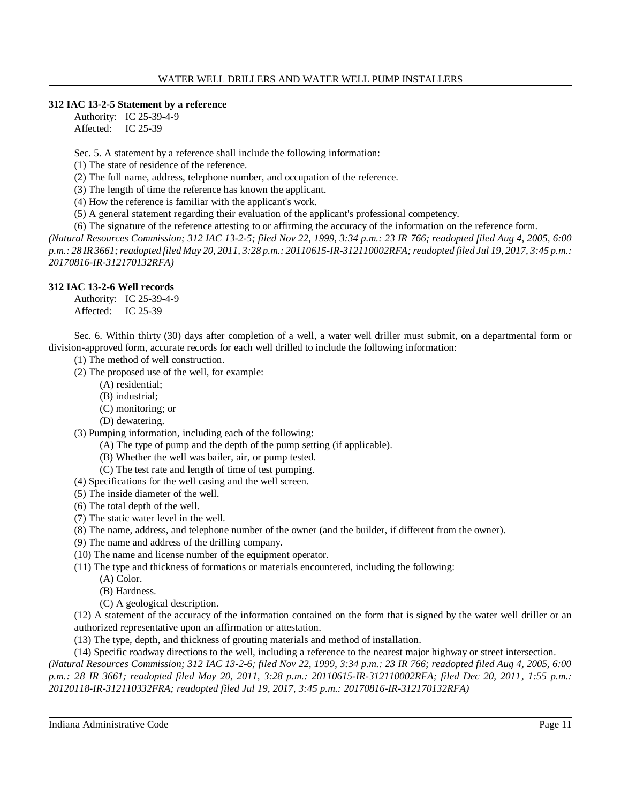# **312 IAC 13-2-5 Statement by a reference**

Authority: IC 25-39-4-9 Affected: IC 25-39

Sec. 5. A statement by a reference shall include the following information:

(1) The state of residence of the reference.

(2) The full name, address, telephone number, and occupation of the reference.

(3) The length of time the reference has known the applicant.

(4) How the reference is familiar with the applicant's work.

(5) A general statement regarding their evaluation of the applicant's professional competency.

(6) The signature of the reference attesting to or affirming the accuracy of the information on the reference form.

*(Natural Resources Commission; 312 IAC 13-2-5; filed Nov 22, 1999, 3:34 p.m.: 23 IR 766; readopted filed Aug 4, 2005, 6:00* p.m.: 28 IR 3661; readopted filed May 20, 2011, 3:28 p.m.: 20110615-IR-312110002RFA; readopted filed Jul 19, 2017, 3:45 p.m.: *20170816-IR-312170132RFA)*

# **312 IAC 13-2-6 Well records**

Authority: IC 25-39-4-9 Affected: IC 25-39

Sec. 6. Within thirty (30) days after completion of a well, a water well driller must submit, on a departmental form or division-approved form, accurate records for each well drilled to include the following information:

- (1) The method of well construction.
- (2) The proposed use of the well, for example:
	- (A) residential;
	- (B) industrial;
	- (C) monitoring; or
	- (D) dewatering.

(3) Pumping information, including each of the following:

- (A) The type of pump and the depth of the pump setting (if applicable).
- (B) Whether the well was bailer, air, or pump tested.
- (C) The test rate and length of time of test pumping.

(4) Specifications for the well casing and the well screen.

- (5) The inside diameter of the well.
- (6) The total depth of the well.
- (7) The static water level in the well.
- (8) The name, address, and telephone number of the owner (and the builder, if different from the owner).
- (9) The name and address of the drilling company.
- (10) The name and license number of the equipment operator.
- (11) The type and thickness of formations or materials encountered, including the following:
	- (A) Color.
	- (B) Hardness.
	- (C) A geological description.

(12) A statement of the accuracy of the information contained on the form that is signed by the water well driller or an authorized representative upon an affirmation or attestation.

(13) The type, depth, and thickness of grouting materials and method of installation.

(14) Specific roadway directions to the well, including a reference to the nearest major highway or street intersection. *(Natural Resources Commission; 312 IAC 13-2-6; filed Nov 22, 1999, 3:34 p.m.: 23 IR 766; readopted filed Aug 4, 2005, 6:00 p.m.: 28 IR 3661; readopted filed May 20, 2011, 3:28 p.m.: 20110615-IR-312110002RFA; filed Dec 20, 2011, 1:55 p.m.: 20120118-IR-312110332FRA; readopted filed Jul 19, 2017, 3:45 p.m.: 20170816-IR-312170132RFA)*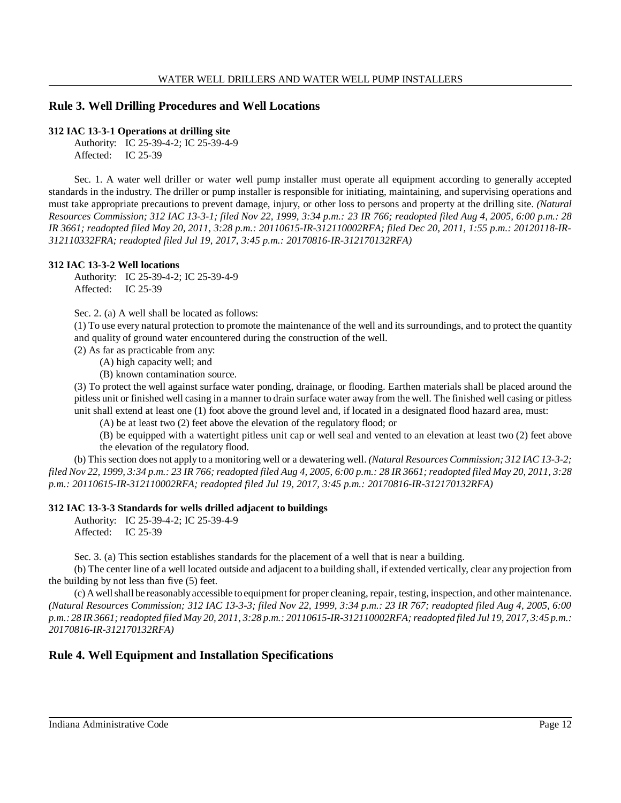# **Rule 3. Well Drilling Procedures and Well Locations**

### **312 IAC 13-3-1 Operations at drilling site**

Authority: IC 25-39-4-2; IC 25-39-4-9 Affected: IC 25-39

Sec. 1. A water well driller or water well pump installer must operate all equipment according to generally accepted standards in the industry. The driller or pump installer is responsible for initiating, maintaining, and supervising operations and must take appropriate precautions to prevent damage, injury, or other loss to persons and property at the drilling site. *(Natural Resources Commission; 312 IAC 13-3-1; filed Nov 22, 1999, 3:34 p.m.: 23 IR 766; readopted filed Aug 4, 2005, 6:00 p.m.: 28 IR 3661; readopted filed May 20, 2011, 3:28 p.m.: 20110615-IR-312110002RFA; filed Dec 20, 2011, 1:55 p.m.: 20120118-IR-312110332FRA; readopted filed Jul 19, 2017, 3:45 p.m.: 20170816-IR-312170132RFA)*

### **312 IAC 13-3-2 Well locations**

Authority: IC 25-39-4-2; IC 25-39-4-9 Affected: IC 25-39

Sec. 2. (a) A well shall be located as follows:

(1) To use every natural protection to promote the maintenance of the well and its surroundings, and to protect the quantity and quality of ground water encountered during the construction of the well.

(2) As far as practicable from any:

(A) high capacity well; and

(B) known contamination source.

(3) To protect the well against surface water ponding, drainage, or flooding. Earthen materials shall be placed around the pitless unit or finished well casing in a manner to drain surface water away from the well. The finished well casing or pitless unit shall extend at least one (1) foot above the ground level and, if located in a designated flood hazard area, must:

(A) be at least two (2) feet above the elevation of the regulatory flood; or

(B) be equipped with a watertight pitless unit cap or well seal and vented to an elevation at least two (2) feet above the elevation of the regulatory flood.

(b) Thissection does not apply to a monitoring well or a dewatering well. *(Natural Resources Commission; 312 IAC 13-3-2;* filed Nov 22, 1999, 3:34 p.m.: 23 IR 766; readopted filed Aug 4, 2005, 6:00 p.m.: 28 IR 3661; readopted filed May 20, 2011, 3:28 *p.m.: 20110615-IR-312110002RFA; readopted filed Jul 19, 2017, 3:45 p.m.: 20170816-IR-312170132RFA)*

# **312 IAC 13-3-3 Standards for wells drilled adjacent to buildings**

Authority: IC 25-39-4-2; IC 25-39-4-9 Affected: IC 25-39

Sec. 3. (a) This section establishes standards for the placement of a well that is near a building.

(b) The center line of a well located outside and adjacent to a building shall, if extended vertically, clear any projection from the building by not less than five (5) feet.

(c) Awellshall be reasonablyaccessible to equipment for proper cleaning, repair, testing, inspection, and other maintenance. *(Natural Resources Commission; 312 IAC 13-3-3; filed Nov 22, 1999, 3:34 p.m.: 23 IR 767; readopted filed Aug 4, 2005, 6:00* p.m.: 28 IR 3661; readopted filed May 20, 2011, 3:28 p.m.: 20110615-IR-312110002RFA; readopted filed Jul 19, 2017, 3:45 p.m.: *20170816-IR-312170132RFA)*

# **Rule 4. Well Equipment and Installation Specifications**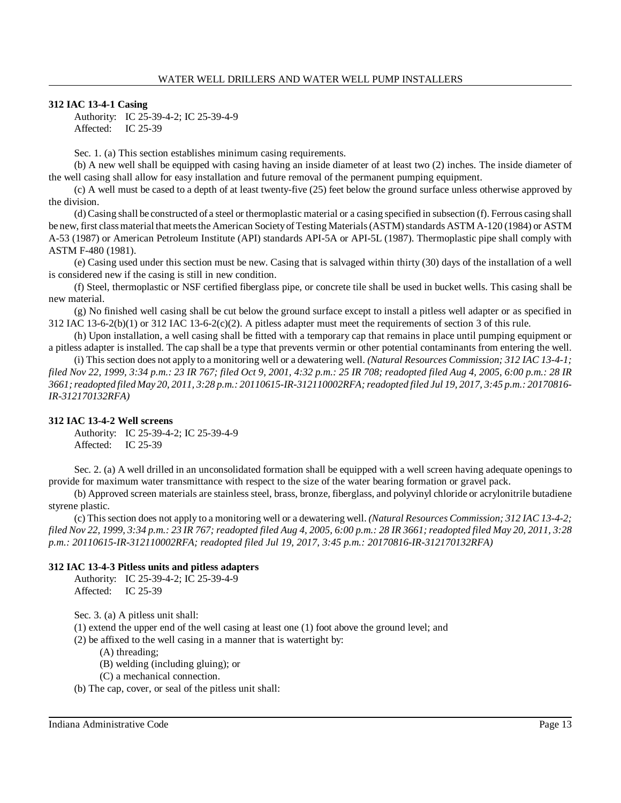# **312 IAC 13-4-1 Casing**

Authority: IC 25-39-4-2; IC 25-39-4-9 Affected: IC 25-39

Sec. 1. (a) This section establishes minimum casing requirements.

(b) A new well shall be equipped with casing having an inside diameter of at least two (2) inches. The inside diameter of the well casing shall allow for easy installation and future removal of the permanent pumping equipment.

(c) A well must be cased to a depth of at least twenty-five (25) feet below the ground surface unless otherwise approved by the division.

(d) Casing shall be constructed of a steel or thermoplastic material or a casing specified in subsection (f). Ferrous casing shall be new, first class material that meets the American Society of Testing Materials (ASTM) standards ASTM A-120 (1984) or ASTM A-53 (1987) or American Petroleum Institute (API) standards API-5A or API-5L (1987). Thermoplastic pipe shall comply with ASTM F-480 (1981).

(e) Casing used under this section must be new. Casing that is salvaged within thirty (30) days of the installation of a well is considered new if the casing is still in new condition.

(f) Steel, thermoplastic or NSF certified fiberglass pipe, or concrete tile shall be used in bucket wells. This casing shall be new material.

(g) No finished well casing shall be cut below the ground surface except to install a pitless well adapter or as specified in 312 IAC 13-6-2(b)(1) or 312 IAC 13-6-2(c)(2). A pitless adapter must meet the requirements of section 3 of this rule.

(h) Upon installation, a well casing shall be fitted with a temporary cap that remains in place until pumping equipment or a pitless adapter is installed. The cap shall be a type that prevents vermin or other potential contaminants from entering the well.

(i) This section does not apply to a monitoring well or a dewatering well. *(Natural Resources Commission; 312 IAC 13-4-1;* filed Nov 22, 1999, 3:34 p.m.: 23 IR 767; filed Oct 9, 2001, 4:32 p.m.: 25 IR 708; readopted filed Aug 4, 2005, 6:00 p.m.: 28 IR 3661; readopted filed May 20, 2011, 3:28 p.m.: 20110615-IR-312110002RFA; readopted filed Jul 19, 2017, 3:45 p.m.: 20170816-*IR-312170132RFA)*

# **312 IAC 13-4-2 Well screens**

Authority: IC 25-39-4-2; IC 25-39-4-9 Affected: IC 25-39

Sec. 2. (a) A well drilled in an unconsolidated formation shall be equipped with a well screen having adequate openings to provide for maximum water transmittance with respect to the size of the water bearing formation or gravel pack.

(b) Approved screen materials are stainless steel, brass, bronze, fiberglass, and polyvinyl chloride or acrylonitrile butadiene styrene plastic.

(c) Thissection does not apply to a monitoring well or a dewatering well. *(Natural Resources Commission; 312 IAC 13-4-2;* filed Nov 22, 1999, 3:34 p.m.: 23 IR 767; readopted filed Aug 4, 2005, 6:00 p.m.: 28 IR 3661; readopted filed May 20, 2011, 3:28 *p.m.: 20110615-IR-312110002RFA; readopted filed Jul 19, 2017, 3:45 p.m.: 20170816-IR-312170132RFA)*

# **312 IAC 13-4-3 Pitless units and pitless adapters**

Authority: IC 25-39-4-2; IC 25-39-4-9 Affected: IC 25-39

Sec. 3. (a) A pitless unit shall:

(1) extend the upper end of the well casing at least one (1) foot above the ground level; and

(2) be affixed to the well casing in a manner that is watertight by:

(A) threading;

- (B) welding (including gluing); or
- (C) a mechanical connection.

(b) The cap, cover, or seal of the pitless unit shall: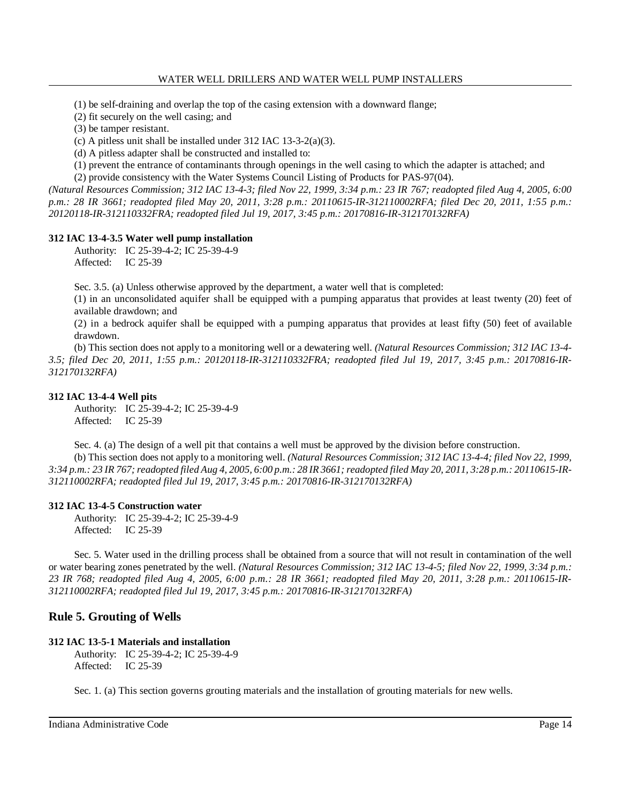(1) be self-draining and overlap the top of the casing extension with a downward flange;

(2) fit securely on the well casing; and

(3) be tamper resistant.

(c) A pitless unit shall be installed under 312 IAC 13-3-2(a)(3).

(d) A pitless adapter shall be constructed and installed to:

(1) prevent the entrance of contaminants through openings in the well casing to which the adapter is attached; and

(2) provide consistency with the Water Systems Council Listing of Products for PAS-97(04).

*(Natural Resources Commission; 312 IAC 13-4-3; filed Nov 22, 1999, 3:34 p.m.: 23 IR 767; readopted filed Aug 4, 2005, 6:00 p.m.: 28 IR 3661; readopted filed May 20, 2011, 3:28 p.m.: 20110615-IR-312110002RFA; filed Dec 20, 2011, 1:55 p.m.: 20120118-IR-312110332FRA; readopted filed Jul 19, 2017, 3:45 p.m.: 20170816-IR-312170132RFA)*

# **312 IAC 13-4-3.5 Water well pump installation**

Authority: IC 25-39-4-2; IC 25-39-4-9 Affected: IC 25-39

Sec. 3.5. (a) Unless otherwise approved by the department, a water well that is completed:

(1) in an unconsolidated aquifer shall be equipped with a pumping apparatus that provides at least twenty (20) feet of available drawdown; and

(2) in a bedrock aquifer shall be equipped with a pumping apparatus that provides at least fifty (50) feet of available drawdown.

(b) This section does not apply to a monitoring well or a dewatering well. *(Natural Resources Commission; 312 IAC 13-4- 3.5; filed Dec 20, 2011, 1:55 p.m.: 20120118-IR-312110332FRA; readopted filed Jul 19, 2017, 3:45 p.m.: 20170816-IR-312170132RFA)*

# **312 IAC 13-4-4 Well pits**

Authority: IC 25-39-4-2; IC 25-39-4-9 Affected: IC 25-39

Sec. 4. (a) The design of a well pit that contains a well must be approved by the division before construction.

(b) This section does not apply to a monitoring well. *(Natural Resources Commission; 312 IAC 13-4-4; filed Nov 22, 1999,* 3:34 p.m.: 23 IR 767; readopted filed Aug 4, 2005, 6:00 p.m.: 28 IR 3661; readopted filed May 20, 2011, 3:28 p.m.: 20110615-IR-*312110002RFA; readopted filed Jul 19, 2017, 3:45 p.m.: 20170816-IR-312170132RFA)*

# **312 IAC 13-4-5 Construction water**

Authority: IC 25-39-4-2; IC 25-39-4-9 Affected: IC 25-39

Sec. 5. Water used in the drilling process shall be obtained from a source that will not result in contamination of the well or water bearing zones penetrated by the well. *(Natural Resources Commission; 312 IAC 13-4-5; filed Nov 22, 1999, 3:34 p.m.: 23 IR 768; readopted filed Aug 4, 2005, 6:00 p.m.: 28 IR 3661; readopted filed May 20, 2011, 3:28 p.m.: 20110615-IR-312110002RFA; readopted filed Jul 19, 2017, 3:45 p.m.: 20170816-IR-312170132RFA)*

# **Rule 5. Grouting of Wells**

# **312 IAC 13-5-1 Materials and installation**

Authority: IC 25-39-4-2; IC 25-39-4-9 Affected: IC 25-39

Sec. 1. (a) This section governs grouting materials and the installation of grouting materials for new wells.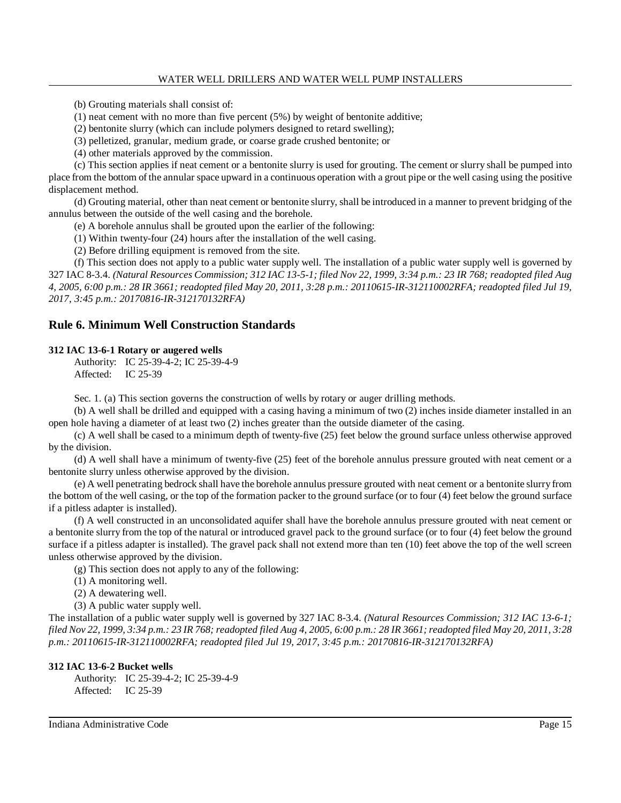(b) Grouting materials shall consist of:

(1) neat cement with no more than five percent (5%) by weight of bentonite additive;

(2) bentonite slurry (which can include polymers designed to retard swelling);

(3) pelletized, granular, medium grade, or coarse grade crushed bentonite; or

(4) other materials approved by the commission.

(c) This section applies if neat cement or a bentonite slurry is used for grouting. The cement or slurry shall be pumped into place from the bottom of the annular space upward in a continuous operation with a grout pipe or the well casing using the positive displacement method.

(d) Grouting material, other than neat cement or bentonite slurry, shall be introduced in a manner to prevent bridging of the annulus between the outside of the well casing and the borehole.

(e) A borehole annulus shall be grouted upon the earlier of the following:

(1) Within twenty-four (24) hours after the installation of the well casing.

(2) Before drilling equipment is removed from the site.

(f) This section does not apply to a public water supply well. The installation of a public water supply well is governed by 327 IAC 8-3.4. (Natural Resources Commission; 312 IAC 13-5-1; filed Nov 22, 1999, 3:34 p.m.: 23 IR 768; readopted filed Aug 4, 2005, 6:00 p.m.: 28 IR 3661; readopted filed May 20, 2011, 3:28 p.m.: 20110615-IR-312110002RFA; readopted filed Jul 19, *2017, 3:45 p.m.: 20170816-IR-312170132RFA)*

# **Rule 6. Minimum Well Construction Standards**

### **312 IAC 13-6-1 Rotary or augered wells**

Authority: IC 25-39-4-2; IC 25-39-4-9 Affected: IC 25-39

Sec. 1. (a) This section governs the construction of wells by rotary or auger drilling methods.

(b) A well shall be drilled and equipped with a casing having a minimum of two (2) inches inside diameter installed in an open hole having a diameter of at least two (2) inches greater than the outside diameter of the casing.

(c) A well shall be cased to a minimum depth of twenty-five (25) feet below the ground surface unless otherwise approved by the division.

(d) A well shall have a minimum of twenty-five (25) feet of the borehole annulus pressure grouted with neat cement or a bentonite slurry unless otherwise approved by the division.

(e) A well penetrating bedrock shall have the borehole annulus pressure grouted with neat cement or a bentonite slurry from the bottom of the well casing, or the top of the formation packer to the ground surface (or to four (4) feet below the ground surface if a pitless adapter is installed).

(f) A well constructed in an unconsolidated aquifer shall have the borehole annulus pressure grouted with neat cement or a bentonite slurry from the top of the natural or introduced gravel pack to the ground surface (or to four (4) feet below the ground surface if a pitless adapter is installed). The gravel pack shall not extend more than ten (10) feet above the top of the well screen unless otherwise approved by the division.

(g) This section does not apply to any of the following:

(1) A monitoring well.

(2) A dewatering well.

(3) A public water supply well.

The installation of a public water supply well is governed by 327 IAC 8-3.4. *(Natural Resources Commission; 312 IAC 13-6-1;* filed Nov 22, 1999, 3:34 p.m.: 23 IR 768; readopted filed Aug 4, 2005, 6:00 p.m.: 28 IR 3661; readopted filed May 20, 2011, 3:28 *p.m.: 20110615-IR-312110002RFA; readopted filed Jul 19, 2017, 3:45 p.m.: 20170816-IR-312170132RFA)*

#### **312 IAC 13-6-2 Bucket wells**

Authority: IC 25-39-4-2; IC 25-39-4-9 Affected: IC 25-39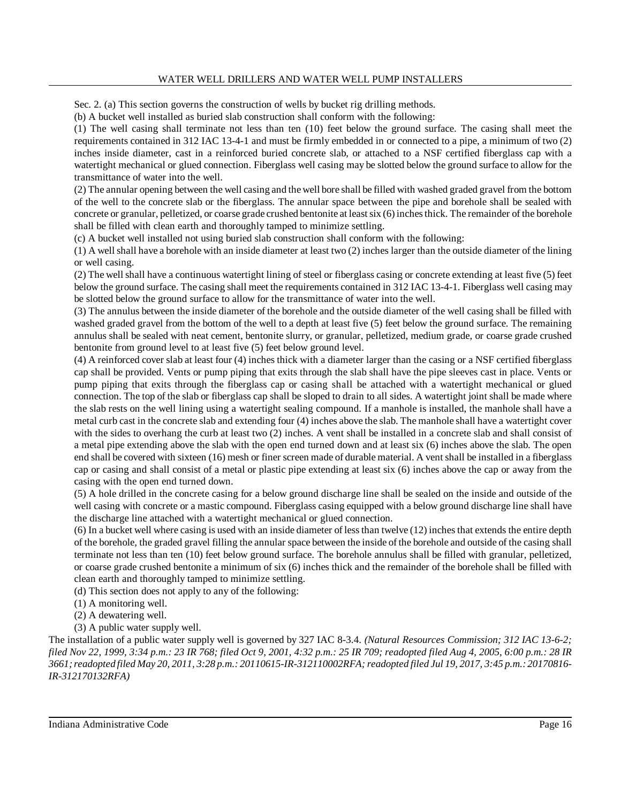Sec. 2. (a) This section governs the construction of wells by bucket rig drilling methods.

(b) A bucket well installed as buried slab construction shall conform with the following:

(1) The well casing shall terminate not less than ten (10) feet below the ground surface. The casing shall meet the requirements contained in 312 IAC 13-4-1 and must be firmly embedded in or connected to a pipe, a minimum of two (2) inches inside diameter, cast in a reinforced buried concrete slab, or attached to a NSF certified fiberglass cap with a watertight mechanical or glued connection. Fiberglass well casing may be slotted below the ground surface to allow for the transmittance of water into the well.

(2) The annular opening between the well casing and the well bore shall be filled with washed graded gravel from the bottom of the well to the concrete slab or the fiberglass. The annular space between the pipe and borehole shall be sealed with concrete or granular, pelletized, or coarse grade crushed bentonite at leastsix (6) inchesthick. The remainder of the borehole shall be filled with clean earth and thoroughly tamped to minimize settling.

(c) A bucket well installed not using buried slab construction shall conform with the following:

(1) A well shall have a borehole with an inside diameter at least two (2) inches larger than the outside diameter of the lining or well casing.

 $(2)$  The well shall have a continuous watertight lining of steel or fiberglass casing or concrete extending at least five  $(5)$  feet below the ground surface. The casing shall meet the requirements contained in 312 IAC 13-4-1. Fiberglass well casing may be slotted below the ground surface to allow for the transmittance of water into the well.

(3) The annulus between the inside diameter of the borehole and the outside diameter of the well casing shall be filled with washed graded gravel from the bottom of the well to a depth at least five (5) feet below the ground surface. The remaining annulus shall be sealed with neat cement, bentonite slurry, or granular, pelletized, medium grade, or coarse grade crushed bentonite from ground level to at least five (5) feet below ground level.

(4) A reinforced cover slab at least four (4) inches thick with a diameter larger than the casing or a NSF certified fiberglass cap shall be provided. Vents or pump piping that exits through the slab shall have the pipe sleeves cast in place. Vents or pump piping that exits through the fiberglass cap or casing shall be attached with a watertight mechanical or glued connection. The top of the slab or fiberglass cap shall be sloped to drain to all sides. A watertight joint shall be made where the slab rests on the well lining using a watertight sealing compound. If a manhole is installed, the manhole shall have a metal curb cast in the concrete slab and extending four (4) inches above the slab. The manhole shall have a watertight cover with the sides to overhang the curb at least two (2) inches. A vent shall be installed in a concrete slab and shall consist of a metal pipe extending above the slab with the open end turned down and at least six (6) inches above the slab. The open end shall be covered with sixteen (16) mesh or finer screen made of durable material. A vent shall be installed in a fiberglass cap or casing and shall consist of a metal or plastic pipe extending at least six (6) inches above the cap or away from the casing with the open end turned down.

(5) A hole drilled in the concrete casing for a below ground discharge line shall be sealed on the inside and outside of the well casing with concrete or a mastic compound. Fiberglass casing equipped with a below ground discharge line shall have the discharge line attached with a watertight mechanical or glued connection.

(6) In a bucket well where casing is used with an inside diameter of lessthan twelve (12) inchesthat extends the entire depth of the borehole, the graded gravel filling the annular space between the inside of the borehole and outside of the casing shall terminate not less than ten (10) feet below ground surface. The borehole annulus shall be filled with granular, pelletized, or coarse grade crushed bentonite a minimum of six (6) inches thick and the remainder of the borehole shall be filled with clean earth and thoroughly tamped to minimize settling.

(d) This section does not apply to any of the following:

(1) A monitoring well.

(2) A dewatering well.

(3) A public water supply well.

The installation of a public water supply well is governed by 327 IAC 8-3.4. *(Natural Resources Commission; 312 IAC 13-6-2;* filed Nov 22, 1999, 3:34 p.m.: 23 IR 768; filed Oct 9, 2001, 4:32 p.m.: 25 IR 709; readopted filed Aug 4, 2005, 6:00 p.m.: 28 IR 3661; readopted filed May 20, 2011, 3:28 p.m.: 20110615-IR-312110002RFA; readopted filed Jul 19, 2017, 3:45 p.m.: 20170816-*IR-312170132RFA)*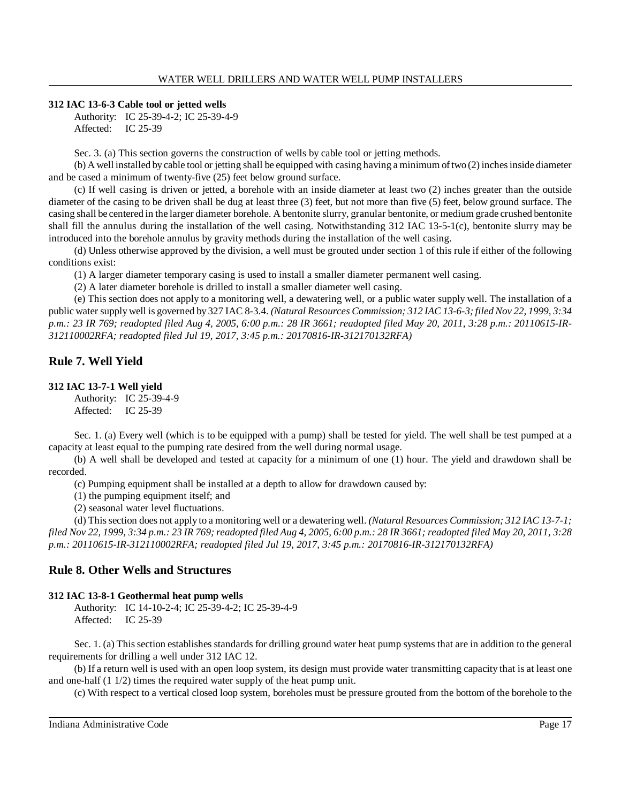#### **312 IAC 13-6-3 Cable tool or jetted wells**

Authority: IC 25-39-4-2; IC 25-39-4-9 Affected: IC 25-39

Sec. 3. (a) This section governs the construction of wells by cable tool or jetting methods.

(b) A well installed by cable tool or jetting shall be equipped with casing having a minimum oftwo (2) inchesinside diameter and be cased a minimum of twenty-five (25) feet below ground surface.

(c) If well casing is driven or jetted, a borehole with an inside diameter at least two (2) inches greater than the outside diameter of the casing to be driven shall be dug at least three (3) feet, but not more than five (5) feet, below ground surface. The casing shall be centered in the larger diameter borehole. A bentonite slurry, granular bentonite, or medium grade crushed bentonite shall fill the annulus during the installation of the well casing. Notwithstanding 312 IAC 13-5-1(c), bentonite slurry may be introduced into the borehole annulus by gravity methods during the installation of the well casing.

(d) Unless otherwise approved by the division, a well must be grouted under section 1 of this rule if either of the following conditions exist:

(1) A larger diameter temporary casing is used to install a smaller diameter permanent well casing.

(2) A later diameter borehole is drilled to install a smaller diameter well casing.

(e) This section does not apply to a monitoring well, a dewatering well, or a public water supply well. The installation of a public water supply well is governed by 327 IAC 8-3.4. *(Natural Resources Commission; 312 IAC 13-6-3; filed Nov 22, 1999, 3:34* p.m.: 23 IR 769; readopted filed Aug 4, 2005, 6:00 p.m.: 28 IR 3661; readopted filed May 20, 2011, 3:28 p.m.: 20110615-IR-*312110002RFA; readopted filed Jul 19, 2017, 3:45 p.m.: 20170816-IR-312170132RFA)*

# **Rule 7. Well Yield**

#### **312 IAC 13-7-1 Well yield**

Authority: IC 25-39-4-9 Affected: IC 25-39

Sec. 1. (a) Every well (which is to be equipped with a pump) shall be tested for yield. The well shall be test pumped at a capacity at least equal to the pumping rate desired from the well during normal usage.

(b) A well shall be developed and tested at capacity for a minimum of one (1) hour. The yield and drawdown shall be recorded.

(c) Pumping equipment shall be installed at a depth to allow for drawdown caused by:

(1) the pumping equipment itself; and

(2) seasonal water level fluctuations.

(d) Thissection does not apply to a monitoring well or a dewatering well. *(Natural Resources Commission; 312 IAC 13-7-1;* filed Nov 22, 1999, 3:34 p.m.: 23 IR 769; readopted filed Aug 4, 2005, 6:00 p.m.: 28 IR 3661; readopted filed May 20, 2011, 3:28 *p.m.: 20110615-IR-312110002RFA; readopted filed Jul 19, 2017, 3:45 p.m.: 20170816-IR-312170132RFA)*

# **Rule 8. Other Wells and Structures**

### **312 IAC 13-8-1 Geothermal heat pump wells**

Authority: IC 14-10-2-4; IC 25-39-4-2; IC 25-39-4-9 Affected: IC 25-39

Sec. 1. (a) Thissection establishes standards for drilling ground water heat pump systems that are in addition to the general requirements for drilling a well under 312 IAC 12.

(b) If a return well is used with an open loop system, its design must provide water transmitting capacity that is at least one and one-half (1 1/2) times the required water supply of the heat pump unit.

(c) With respect to a vertical closed loop system, boreholes must be pressure grouted from the bottom of the borehole to the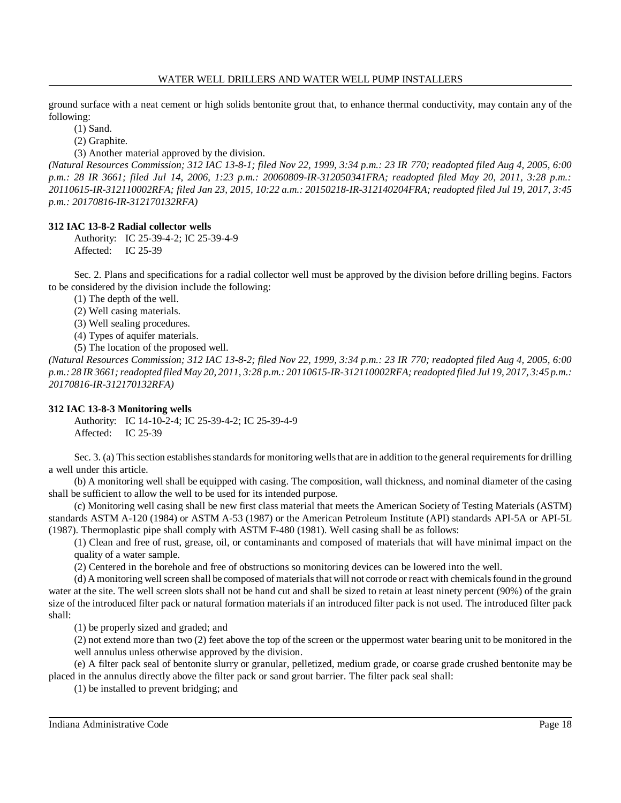ground surface with a neat cement or high solids bentonite grout that, to enhance thermal conductivity, may contain any of the following:

(1) Sand.

(2) Graphite.

(3) Another material approved by the division.

*(Natural Resources Commission; 312 IAC 13-8-1; filed Nov 22, 1999, 3:34 p.m.: 23 IR 770; readopted filed Aug 4, 2005, 6:00 p.m.: 28 IR 3661; filed Jul 14, 2006, 1:23 p.m.: 20060809-IR-312050341FRA; readopted filed May 20, 2011, 3:28 p.m.: 20110615-IR-312110002RFA; filed Jan 23, 2015, 10:22 a.m.: 20150218-IR-312140204FRA; readopted filed Jul 19, 2017, 3:45 p.m.: 20170816-IR-312170132RFA)*

# **312 IAC 13-8-2 Radial collector wells**

Authority: IC 25-39-4-2; IC 25-39-4-9 Affected: IC 25-39

Sec. 2. Plans and specifications for a radial collector well must be approved by the division before drilling begins. Factors to be considered by the division include the following:

(1) The depth of the well.

(2) Well casing materials.

(3) Well sealing procedures.

(4) Types of aquifer materials.

(5) The location of the proposed well.

*(Natural Resources Commission; 312 IAC 13-8-2; filed Nov 22, 1999, 3:34 p.m.: 23 IR 770; readopted filed Aug 4, 2005, 6:00* p.m.: 28 IR 3661; readopted filed May 20, 2011, 3:28 p.m.: 20110615-IR-312110002RFA; readopted filed Jul 19, 2017, 3:45 p.m.: *20170816-IR-312170132RFA)*

# **312 IAC 13-8-3 Monitoring wells**

Authority: IC 14-10-2-4; IC 25-39-4-2; IC 25-39-4-9 Affected: IC 25-39

Sec. 3. (a) This section establishes standards for monitoring wells that are in addition to the general requirements for drilling a well under this article.

(b) A monitoring well shall be equipped with casing. The composition, wall thickness, and nominal diameter of the casing shall be sufficient to allow the well to be used for its intended purpose.

(c) Monitoring well casing shall be new first class material that meets the American Society of Testing Materials (ASTM) standards ASTM A-120 (1984) or ASTM A-53 (1987) or the American Petroleum Institute (API) standards API-5A or API-5L (1987). Thermoplastic pipe shall comply with ASTM F-480 (1981). Well casing shall be as follows:

(1) Clean and free of rust, grease, oil, or contaminants and composed of materials that will have minimal impact on the quality of a water sample.

(2) Centered in the borehole and free of obstructions so monitoring devices can be lowered into the well.

(d) A monitoring well screen shall be composed of materials that will not corrode or react with chemicals found in the ground water at the site. The well screen slots shall not be hand cut and shall be sized to retain at least ninety percent (90%) of the grain size of the introduced filter pack or natural formation materials if an introduced filter pack is not used. The introduced filter pack shall:

(1) be properly sized and graded; and

(2) not extend more than two (2) feet above the top of the screen or the uppermost water bearing unit to be monitored in the well annulus unless otherwise approved by the division.

(e) A filter pack seal of bentonite slurry or granular, pelletized, medium grade, or coarse grade crushed bentonite may be placed in the annulus directly above the filter pack or sand grout barrier. The filter pack seal shall:

(1) be installed to prevent bridging; and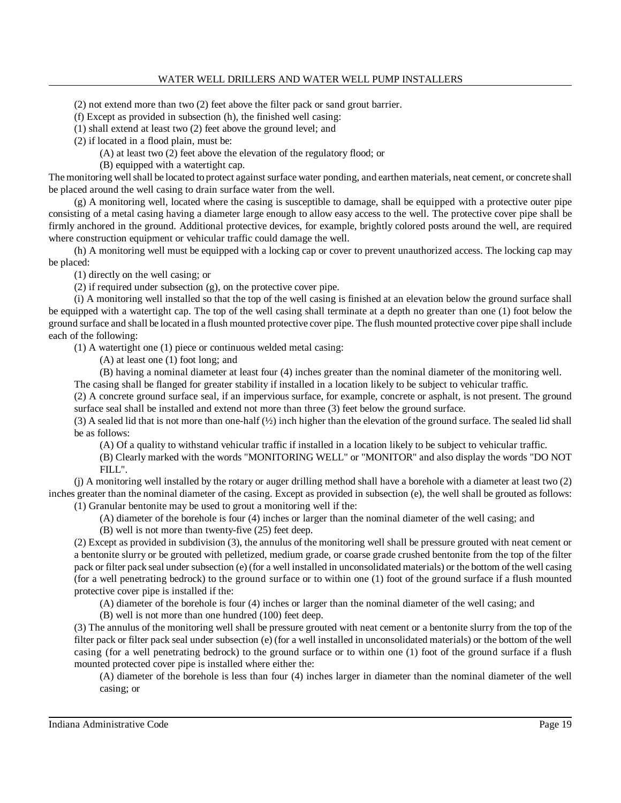(2) not extend more than two (2) feet above the filter pack or sand grout barrier.

(f) Except as provided in subsection (h), the finished well casing:

(1) shall extend at least two (2) feet above the ground level; and

(2) if located in a flood plain, must be:

(A) at least two (2) feet above the elevation of the regulatory flood; or

(B) equipped with a watertight cap.

The monitoring well shall be located to protect against surface water ponding, and earthen materials, neat cement, or concrete shall be placed around the well casing to drain surface water from the well.

 $(g)$  A monitoring well, located where the casing is susceptible to damage, shall be equipped with a protective outer pipe consisting of a metal casing having a diameter large enough to allow easy access to the well. The protective cover pipe shall be firmly anchored in the ground. Additional protective devices, for example, brightly colored posts around the well, are required where construction equipment or vehicular traffic could damage the well.

(h) A monitoring well must be equipped with a locking cap or cover to prevent unauthorized access. The locking cap may be placed:

(1) directly on the well casing; or

(2) if required under subsection (g), on the protective cover pipe.

(i) A monitoring well installed so that the top of the well casing is finished at an elevation below the ground surface shall be equipped with a watertight cap. The top of the well casing shall terminate at a depth no greater than one (1) foot below the ground surface and shall be located in a flush mounted protective cover pipe. The flush mounted protective cover pipe shall include each of the following:

(1) A watertight one (1) piece or continuous welded metal casing:

(A) at least one (1) foot long; and

(B) having a nominal diameter at least four (4) inches greater than the nominal diameter of the monitoring well.

The casing shall be flanged for greater stability if installed in a location likely to be subject to vehicular traffic.

(2) A concrete ground surface seal, if an impervious surface, for example, concrete or asphalt, is not present. The ground surface seal shall be installed and extend not more than three (3) feet below the ground surface.

(3) A sealed lid that is not more than one-half (½) inch higher than the elevation of the ground surface. The sealed lid shall be as follows:

(A) Of a quality to withstand vehicular traffic if installed in a location likely to be subject to vehicular traffic.

(B) Clearly marked with the words "MONITORING WELL" or "MONITOR" and also display the words "DO NOT FILL".

(j) A monitoring well installed by the rotary or auger drilling method shall have a borehole with a diameter at least two (2) inches greater than the nominal diameter of the casing. Except as provided in subsection (e), the well shall be grouted as follows: (1) Granular bentonite may be used to grout a monitoring well if the:

(A) diameter of the borehole is four (4) inches or larger than the nominal diameter of the well casing; and

(B) well is not more than twenty-five (25) feet deep.

(2) Except as provided in subdivision (3), the annulus of the monitoring well shall be pressure grouted with neat cement or a bentonite slurry or be grouted with pelletized, medium grade, or coarse grade crushed bentonite from the top of the filter pack or filter pack seal under subsection (e) (for a well installed in unconsolidated materials) or the bottom of the well casing (for a well penetrating bedrock) to the ground surface or to within one (1) foot of the ground surface if a flush mounted protective cover pipe is installed if the:

(A) diameter of the borehole is four (4) inches or larger than the nominal diameter of the well casing; and

(B) well is not more than one hundred (100) feet deep.

(3) The annulus of the monitoring well shall be pressure grouted with neat cement or a bentonite slurry from the top of the filter pack or filter pack seal under subsection (e) (for a well installed in unconsolidated materials) or the bottom of the well casing (for a well penetrating bedrock) to the ground surface or to within one (1) foot of the ground surface if a flush mounted protected cover pipe is installed where either the:

(A) diameter of the borehole is less than four (4) inches larger in diameter than the nominal diameter of the well casing; or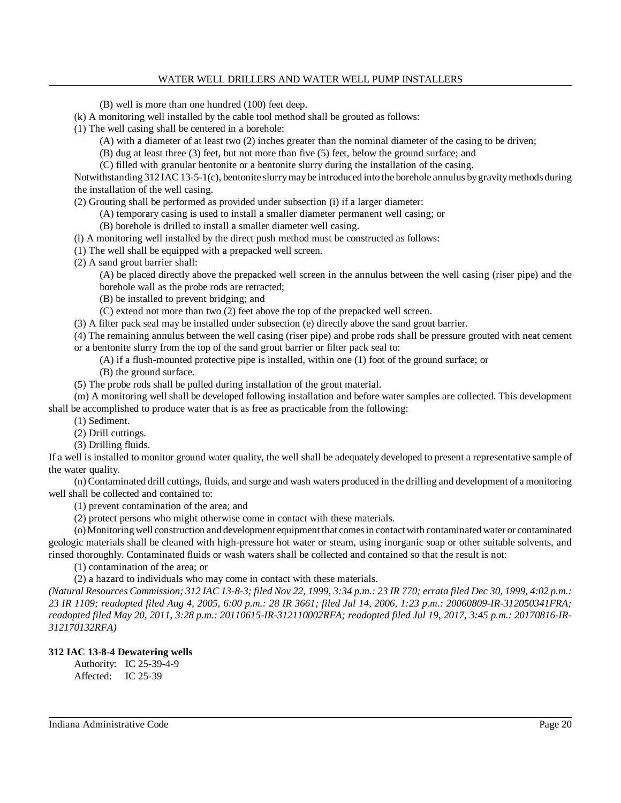(B) well is more than one hundred (100) feet deep.

(k) A monitoring well installed by the cable tool method shall be grouted as follows:

(1) The well casing shall be centered in a borehole:

(A) with a diameter of at least two (2) inches greater than the nominal diameter of the casing to be driven;

(B) dug at least three (3) feet, but not more than five (5) feet, below the ground surface; and

(C) filled with granular bentonite or a bentonite slurry during the installation of the casing.

Notwithstanding 312 IAC 13-5-1(c), bentonite slurrymaybe introduced into the borehole annulus bygravitymethods during the installation of the well casing.

(2) Grouting shall be performed as provided under subsection (i) if a larger diameter:

(A) temporary casing is used to install a smaller diameter permanent well casing; or

(B) borehole is drilled to install a smaller diameter well casing.

(l) A monitoring well installed by the direct push method must be constructed as follows:

(1) The well shall be equipped with a prepacked well screen.

(2) A sand grout barrier shall:

(A) be placed directly above the prepacked well screen in the annulus between the well casing (riser pipe) and the borehole wall as the probe rods are retracted;

(B) be installed to prevent bridging; and

(C) extend not more than two (2) feet above the top of the prepacked well screen.

(3) A filter pack seal may be installed under subsection (e) directly above the sand grout barrier.

(4) The remaining annulus between the well casing (riser pipe) and probe rods shall be pressure grouted with neat cement or a bentonite slurry from the top of the sand grout barrier or filter pack seal to:

(A) if a flush-mounted protective pipe is installed, within one (1) foot of the ground surface; or

(B) the ground surface.

(5) The probe rods shall be pulled during installation of the grout material.

(m) A monitoring well shall be developed following installation and before water samples are collected. This development shall be accomplished to produce water that is as free as practicable from the following:

(1) Sediment.

(2) Drill cuttings.

(3) Drilling fluids.

If a well is installed to monitor ground water quality, the well shall be adequately developed to present a representative sample of the water quality.

(n) Contaminated drill cuttings, fluids, and surge and wash waters produced in the drilling and development of a monitoring well shall be collected and contained to:

(1) prevent contamination of the area; and

(2) protect persons who might otherwise come in contact with these materials.

(o)Monitoring well construction and development equipment that comesin contact with contaminated water or contaminated geologic materials shall be cleaned with high-pressure hot water or steam, using inorganic soap or other suitable solvents, and rinsed thoroughly. Contaminated fluids or wash waters shall be collected and contained so that the result is not:

(1) contamination of the area; or

(2) a hazard to individuals who may come in contact with these materials.

(Natural Resources Commission; 312 IAC 13-8-3; filed Nov 22, 1999, 3:34 p.m.: 23 IR 770; errata filed Dec 30, 1999, 4:02 p.m.: 23 IR 1109; readopted filed Aug 4, 2005, 6:00 p.m.: 28 IR 3661; filed Jul 14, 2006, 1:23 p.m.: 20060809-IR-312050341FRA; *readopted filed May 20, 2011, 3:28 p.m.: 20110615-IR-312110002RFA; readopted filed Jul 19, 2017, 3:45 p.m.: 20170816-IR-312170132RFA)*

# **312 IAC 13-8-4 Dewatering wells**

Authority: IC 25-39-4-9 Affected: IC 25-39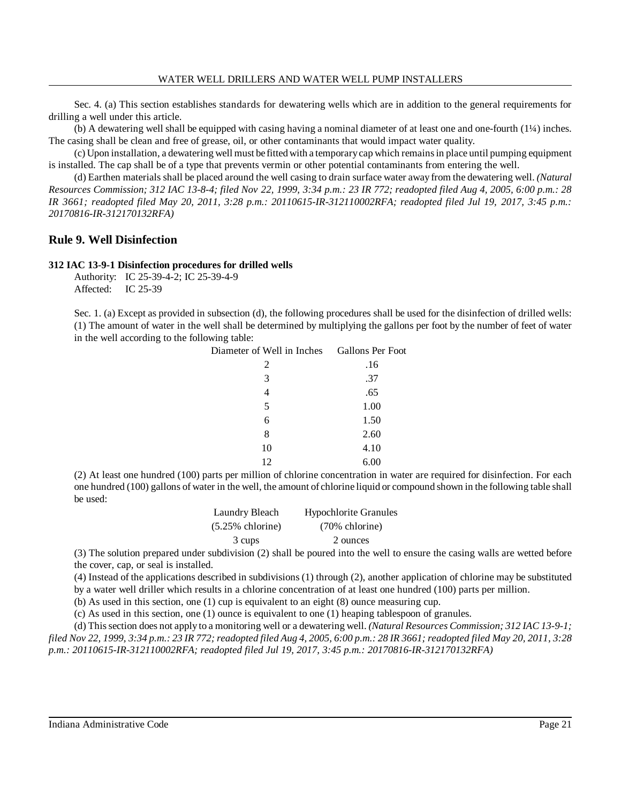Sec. 4. (a) This section establishes standards for dewatering wells which are in addition to the general requirements for drilling a well under this article.

(b) A dewatering well shall be equipped with casing having a nominal diameter of at least one and one-fourth (1¼) inches. The casing shall be clean and free of grease, oil, or other contaminants that would impact water quality.

(c) Upon installation, a dewatering well must be fittedwith a temporarycap which remainsin place until pumping equipment is installed. The cap shall be of a type that prevents vermin or other potential contaminants from entering the well.

(d) Earthen materials shall be placed around the well casing to drain surface water away from the dewatering well. *(Natural Resources Commission; 312 IAC 13-8-4; filed Nov 22, 1999, 3:34 p.m.: 23 IR 772; readopted filed Aug 4, 2005, 6:00 p.m.: 28 IR 3661; readopted filed May 20, 2011, 3:28 p.m.: 20110615-IR-312110002RFA; readopted filed Jul 19, 2017, 3:45 p.m.: 20170816-IR-312170132RFA)*

# **Rule 9. Well Disinfection**

#### **312 IAC 13-9-1 Disinfection procedures for drilled wells**

Authority: IC 25-39-4-2; IC 25-39-4-9 Affected: IC 25-39

Sec. 1. (a) Except as provided in subsection (d), the following procedures shall be used for the disinfection of drilled wells: (1) The amount of water in the well shall be determined by multiplying the gallons per foot by the number of feet of water in the well according to the following table:

| Diameter of Well in Inches Gallons Per Foot |      |
|---------------------------------------------|------|
| 2                                           | .16  |
| 3                                           | .37  |
| 4                                           | .65  |
| 5                                           | 1.00 |
| 6                                           | 1.50 |
| 8                                           | 2.60 |
| 10                                          | 4.10 |
| 12                                          | 6.00 |

(2) At least one hundred (100) parts per million of chlorine concentration in water are required for disinfection. For each one hundred (100) gallons of water in the well, the amount of chlorine liquid or compound shown in the following table shall be used:

| Laundry Bleach      | <b>Hypochlorite Granules</b> |
|---------------------|------------------------------|
| $(5.25\%$ chlorine) | $(70\%$ chlorine)            |
| 3 cups              | 2 ounces                     |

(3) The solution prepared under subdivision (2) shall be poured into the well to ensure the casing walls are wetted before the cover, cap, or seal is installed.

(4) Instead of the applications described in subdivisions (1) through (2), another application of chlorine may be substituted by a water well driller which results in a chlorine concentration of at least one hundred (100) parts per million.

(b) As used in this section, one (1) cup is equivalent to an eight (8) ounce measuring cup.

(c) As used in this section, one (1) ounce is equivalent to one (1) heaping tablespoon of granules.

(d) Thissection does not apply to a monitoring well or a dewatering well. *(Natural Resources Commission; 312 IAC 13-9-1;* filed Nov 22, 1999, 3:34 p.m.: 23 IR 772; readopted filed Aug 4, 2005, 6:00 p.m.: 28 IR 3661; readopted filed May 20, 2011, 3:28 *p.m.: 20110615-IR-312110002RFA; readopted filed Jul 19, 2017, 3:45 p.m.: 20170816-IR-312170132RFA)*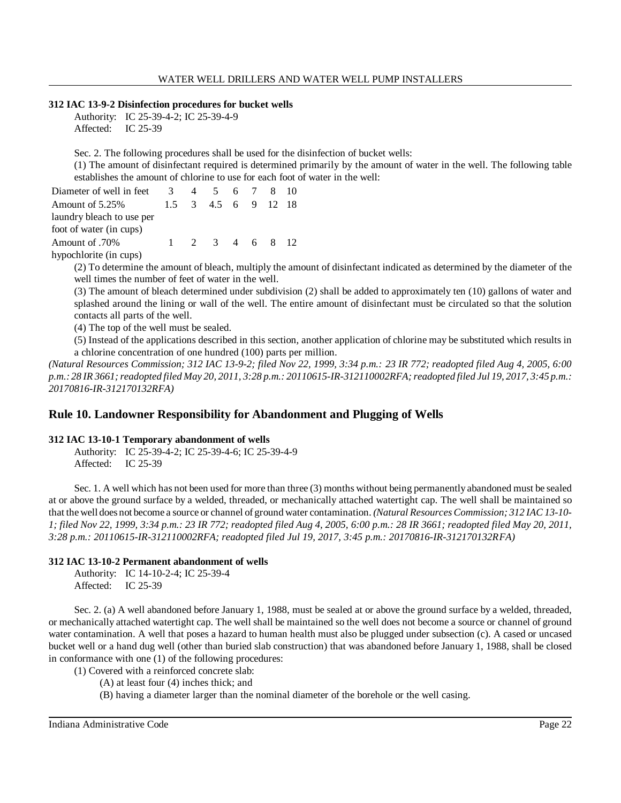### **312 IAC 13-9-2 Disinfection procedures for bucket wells**

Authority: IC 25-39-4-2; IC 25-39-4-9 Affected: IC 25-39

Sec. 2. The following procedures shall be used for the disinfection of bucket wells:

(1) The amount of disinfectant required is determined primarily by the amount of water in the well. The following table establishes the amount of chlorine to use for each foot of water in the well:

Diameter of well in feet 3 4 5 6 7 8 10 Amount of 5.25% laundry bleach to use per foot of water (in cups) 1.5 3 4.5 6 9 12 18 Amount of .70% hypochlorite (in cups) 1 2 3 4 6 8 12

(2) To determine the amount of bleach, multiply the amount of disinfectant indicated as determined by the diameter of the well times the number of feet of water in the well.

(3) The amount of bleach determined under subdivision (2) shall be added to approximately ten (10) gallons of water and splashed around the lining or wall of the well. The entire amount of disinfectant must be circulated so that the solution contacts all parts of the well.

(4) The top of the well must be sealed.

(5) Instead of the applications described in this section, another application of chlorine may be substituted which results in a chlorine concentration of one hundred (100) parts per million.

*(Natural Resources Commission; 312 IAC 13-9-2; filed Nov 22, 1999, 3:34 p.m.: 23 IR 772; readopted filed Aug 4, 2005, 6:00* p.m.: 28 IR 3661; readopted filed May 20, 2011, 3:28 p.m.: 20110615-IR-312110002RFA; readopted filed Jul 19, 2017, 3:45 p.m.: *20170816-IR-312170132RFA)*

# **Rule 10. Landowner Responsibility for Abandonment and Plugging of Wells**

# **312 IAC 13-10-1 Temporary abandonment of wells**

Authority: IC 25-39-4-2; IC 25-39-4-6; IC 25-39-4-9 Affected: IC 25-39

Sec. 1. A well which has not been used for more than three (3) months without being permanently abandoned must be sealed at or above the ground surface by a welded, threaded, or mechanically attached watertight cap. The well shall be maintained so that the well does not become a source or channel of ground water contamination. *(Natural ResourcesCommission; 312 IAC 13-10-* 1; filed Nov 22, 1999, 3:34 p.m.: 23 IR 772; readopted filed Aug 4, 2005, 6:00 p.m.: 28 IR 3661; readopted filed May 20, 2011, *3:28 p.m.: 20110615-IR-312110002RFA; readopted filed Jul 19, 2017, 3:45 p.m.: 20170816-IR-312170132RFA)*

# **312 IAC 13-10-2 Permanent abandonment of wells**

Authority: IC 14-10-2-4; IC 25-39-4 Affected: IC 25-39

Sec. 2. (a) A well abandoned before January 1, 1988, must be sealed at or above the ground surface by a welded, threaded, or mechanically attached watertight cap. The well shall be maintained so the well does not become a source or channel of ground water contamination. A well that poses a hazard to human health must also be plugged under subsection (c). A cased or uncased bucket well or a hand dug well (other than buried slab construction) that was abandoned before January 1, 1988, shall be closed in conformance with one (1) of the following procedures:

- (1) Covered with a reinforced concrete slab:
	- (A) at least four (4) inches thick; and

(B) having a diameter larger than the nominal diameter of the borehole or the well casing.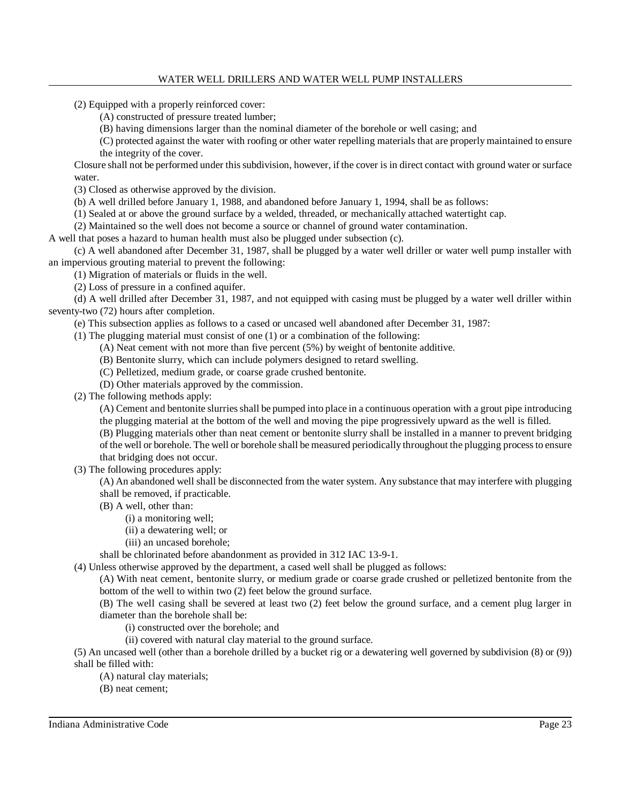(2) Equipped with a properly reinforced cover:

(A) constructed of pressure treated lumber;

(B) having dimensions larger than the nominal diameter of the borehole or well casing; and

(C) protected against the water with roofing or other water repelling materials that are properly maintained to ensure the integrity of the cover.

Closure shall not be performed under thissubdivision, however, if the cover is in direct contact with ground water or surface water.

(3) Closed as otherwise approved by the division.

(b) A well drilled before January 1, 1988, and abandoned before January 1, 1994, shall be as follows:

(1) Sealed at or above the ground surface by a welded, threaded, or mechanically attached watertight cap.

(2) Maintained so the well does not become a source or channel of ground water contamination.

A well that poses a hazard to human health must also be plugged under subsection (c).

(c) A well abandoned after December 31, 1987, shall be plugged by a water well driller or water well pump installer with an impervious grouting material to prevent the following:

(1) Migration of materials or fluids in the well.

(2) Loss of pressure in a confined aquifer.

(d) A well drilled after December 31, 1987, and not equipped with casing must be plugged by a water well driller within seventy-two (72) hours after completion.

(e) This subsection applies as follows to a cased or uncased well abandoned after December 31, 1987:

(1) The plugging material must consist of one (1) or a combination of the following:

(A) Neat cement with not more than five percent (5%) by weight of bentonite additive.

(B) Bentonite slurry, which can include polymers designed to retard swelling.

(C) Pelletized, medium grade, or coarse grade crushed bentonite.

(D) Other materials approved by the commission.

(2) The following methods apply:

(A) Cement and bentonite slurries shall be pumped into place in a continuous operation with a grout pipe introducing the plugging material at the bottom of the well and moving the pipe progressively upward as the well is filled.

(B) Plugging materials other than neat cement or bentonite slurry shall be installed in a manner to prevent bridging

of the well or borehole. The well or borehole shall be measured periodically throughout the plugging processto ensure that bridging does not occur.

(3) The following procedures apply:

(A) An abandoned well shall be disconnected from the water system. Any substance that may interfere with plugging shall be removed, if practicable.

(B) A well, other than:

(i) a monitoring well;

(ii) a dewatering well; or

(iii) an uncased borehole;

shall be chlorinated before abandonment as provided in 312 IAC 13-9-1.

(4) Unless otherwise approved by the department, a cased well shall be plugged as follows:

(A) With neat cement, bentonite slurry, or medium grade or coarse grade crushed or pelletized bentonite from the bottom of the well to within two (2) feet below the ground surface.

(B) The well casing shall be severed at least two (2) feet below the ground surface, and a cement plug larger in diameter than the borehole shall be:

(i) constructed over the borehole; and

(ii) covered with natural clay material to the ground surface.

(5) An uncased well (other than a borehole drilled by a bucket rig or a dewatering well governed by subdivision (8) or (9)) shall be filled with:

(A) natural clay materials;

(B) neat cement;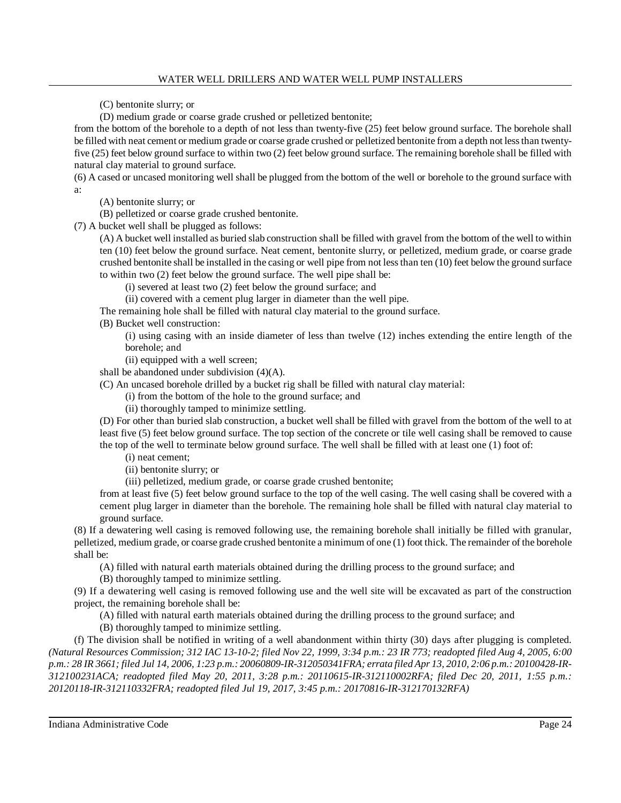(C) bentonite slurry; or

(D) medium grade or coarse grade crushed or pelletized bentonite;

from the bottom of the borehole to a depth of not less than twenty-five (25) feet below ground surface. The borehole shall be filled with neat cement or medium grade or coarse grade crushed or pelletized bentonite from a depth not lessthan twentyfive (25) feet below ground surface to within two (2) feet below ground surface. The remaining borehole shall be filled with natural clay material to ground surface.

(6) A cased or uncased monitoring well shall be plugged from the bottom of the well or borehole to the ground surface with a:

(A) bentonite slurry; or

(B) pelletized or coarse grade crushed bentonite.

(7) A bucket well shall be plugged as follows:

(A) A bucket well installed as buried slab construction shall be filled with gravel from the bottom of the well to within ten (10) feet below the ground surface. Neat cement, bentonite slurry, or pelletized, medium grade, or coarse grade crushed bentonite shall be installed in the casing or well pipe from not lessthan ten (10) feet below the ground surface to within two (2) feet below the ground surface. The well pipe shall be:

(i) severed at least two (2) feet below the ground surface; and

(ii) covered with a cement plug larger in diameter than the well pipe.

The remaining hole shall be filled with natural clay material to the ground surface.

(B) Bucket well construction:

(i) using casing with an inside diameter of less than twelve (12) inches extending the entire length of the borehole; and

(ii) equipped with a well screen;

shall be abandoned under subdivision (4)(A).

(C) An uncased borehole drilled by a bucket rig shall be filled with natural clay material:

(i) from the bottom of the hole to the ground surface; and

(ii) thoroughly tamped to minimize settling.

(D) For other than buried slab construction, a bucket well shall be filled with gravel from the bottom of the well to at least five (5) feet below ground surface. The top section of the concrete or tile well casing shall be removed to cause the top of the well to terminate below ground surface. The well shall be filled with at least one (1) foot of:

(i) neat cement;

(ii) bentonite slurry; or

(iii) pelletized, medium grade, or coarse grade crushed bentonite;

from at least five (5) feet below ground surface to the top of the well casing. The well casing shall be covered with a cement plug larger in diameter than the borehole. The remaining hole shall be filled with natural clay material to ground surface.

(8) If a dewatering well casing is removed following use, the remaining borehole shall initially be filled with granular, pelletized, medium grade, or coarse grade crushed bentonite a minimum of one (1) foot thick. The remainder of the borehole shall be:

(A) filled with natural earth materials obtained during the drilling process to the ground surface; and

(B) thoroughly tamped to minimize settling.

(9) If a dewatering well casing is removed following use and the well site will be excavated as part of the construction project, the remaining borehole shall be:

(A) filled with natural earth materials obtained during the drilling process to the ground surface; and

(B) thoroughly tamped to minimize settling.

(f) The division shall be notified in writing of a well abandonment within thirty (30) days after plugging is completed. (Natural Resources Commission; 312 IAC 13-10-2; filed Nov 22, 1999, 3:34 p.m.: 23 IR 773; readopted filed Aug 4, 2005, 6:00 p.m.: 28 IR 3661; filed Jul 14, 2006, 1:23 p.m.: 20060809-IR-312050341FRA; errata filed Apr 13, 2010, 2:06 p.m.: 20100428-IR-*312100231ACA; readopted filed May 20, 2011, 3:28 p.m.: 20110615-IR-312110002RFA; filed Dec 20, 2011, 1:55 p.m.: 20120118-IR-312110332FRA; readopted filed Jul 19, 2017, 3:45 p.m.: 20170816-IR-312170132RFA)*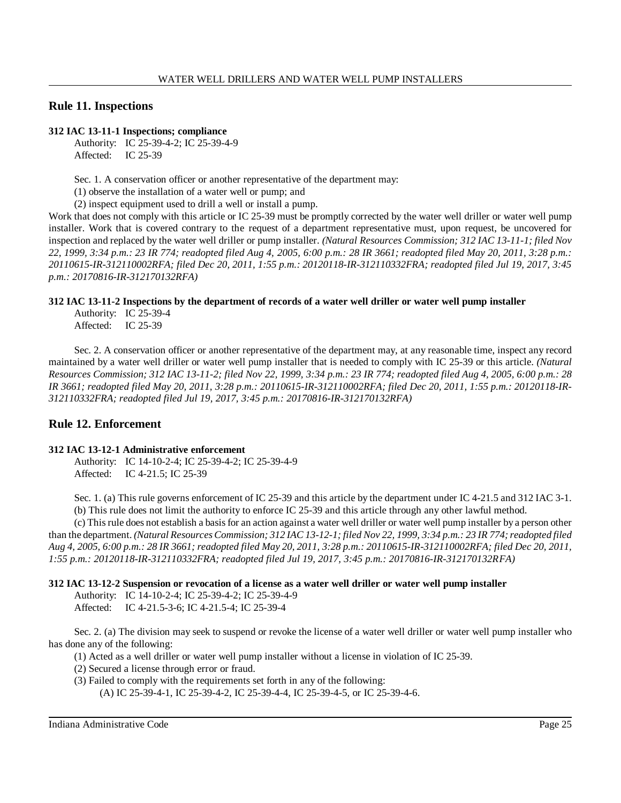# **Rule 11. Inspections**

#### **312 IAC 13-11-1 Inspections; compliance**

Authority: IC 25-39-4-2; IC 25-39-4-9 Affected: IC 25-39

Sec. 1. A conservation officer or another representative of the department may:

(1) observe the installation of a water well or pump; and

(2) inspect equipment used to drill a well or install a pump.

Work that does not comply with this article or IC 25-39 must be promptly corrected by the water well driller or water well pump installer. Work that is covered contrary to the request of a department representative must, upon request, be uncovered for inspection and replaced by the water well driller or pump installer. *(Natural Resources Commission; 312 IAC 13-11-1; filed Nov 22, 1999, 3:34 p.m.: 23 IR 774; readopted filed Aug 4, 2005, 6:00 p.m.: 28 IR 3661; readopted filed May 20, 2011, 3:28 p.m.: 20110615-IR-312110002RFA; filed Dec 20, 2011, 1:55 p.m.: 20120118-IR-312110332FRA; readopted filed Jul 19, 2017, 3:45 p.m.: 20170816-IR-312170132RFA)*

# **312 IAC 13-11-2 Inspections by the department of records of a water well driller or water well pump installer**

Authority: IC 25-39-4 Affected: IC 25-39

Sec. 2. A conservation officer or another representative of the department may, at any reasonable time, inspect any record maintained by a water well driller or water well pump installer that is needed to comply with IC 25-39 or this article. *(Natural* Resources Commission; 312 IAC 13-11-2; filed Nov 22, 1999, 3:34 p.m.: 23 IR 774; readopted filed Aug 4, 2005, 6:00 p.m.: 28 *IR 3661; readopted filed May 20, 2011, 3:28 p.m.: 20110615-IR-312110002RFA; filed Dec 20, 2011, 1:55 p.m.: 20120118-IR-312110332FRA; readopted filed Jul 19, 2017, 3:45 p.m.: 20170816-IR-312170132RFA)*

# **Rule 12. Enforcement**

# **312 IAC 13-12-1 Administrative enforcement**

Authority: IC 14-10-2-4; IC 25-39-4-2; IC 25-39-4-9 Affected: IC 4-21.5; IC 25-39

Sec. 1. (a) This rule governs enforcement of IC 25-39 and this article by the department under IC 4-21.5 and 312 IAC 3-1. (b) This rule does not limit the authority to enforce IC 25-39 and this article through any other lawful method.

(c) Thisrule does not establish a basisfor an action against a water well driller or water well pump installer by a person other than the department. (Natural Resources Commission; 312 IAC 13-12-1; filed Nov 22, 1999, 3:34 p.m.: 23 IR 774; readopted filed Aug 4, 2005, 6:00 p.m.: 28 IR 3661; readopted filed May 20, 2011, 3:28 p.m.: 20110615-IR-312110002RFA; filed Dec 20, 2011, *1:55 p.m.: 20120118-IR-312110332FRA; readopted filed Jul 19, 2017, 3:45 p.m.: 20170816-IR-312170132RFA)*

# **312 IAC 13-12-2 Suspension or revocation of a license as a water well driller or water well pump installer**

Authority: IC 14-10-2-4; IC 25-39-4-2; IC 25-39-4-9

Affected: IC 4-21.5-3-6; IC 4-21.5-4; IC 25-39-4

Sec. 2. (a) The division may seek to suspend or revoke the license of a water well driller or water well pump installer who has done any of the following:

(1) Acted as a well driller or water well pump installer without a license in violation of IC 25-39.

- (2) Secured a license through error or fraud.
- (3) Failed to comply with the requirements set forth in any of the following:

(A) IC 25-39-4-1, IC 25-39-4-2, IC 25-39-4-4, IC 25-39-4-5, or IC 25-39-4-6.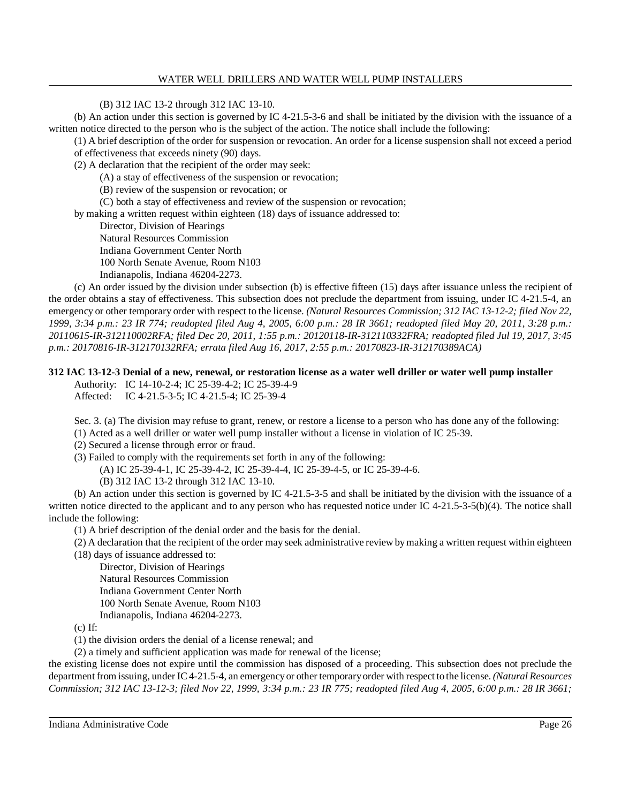(B) 312 IAC 13-2 through 312 IAC 13-10.

(b) An action under this section is governed by IC 4-21.5-3-6 and shall be initiated by the division with the issuance of a written notice directed to the person who is the subject of the action. The notice shall include the following:

(1) A brief description of the order for suspension or revocation. An order for a license suspension shall not exceed a period of effectiveness that exceeds ninety (90) days.

(2) A declaration that the recipient of the order may seek:

(A) a stay of effectiveness of the suspension or revocation;

(B) review of the suspension or revocation; or

(C) both a stay of effectiveness and review of the suspension or revocation;

by making a written request within eighteen (18) days of issuance addressed to:

Director, Division of Hearings

Natural Resources Commission

Indiana Government Center North

100 North Senate Avenue, Room N103

Indianapolis, Indiana 46204-2273.

(c) An order issued by the division under subsection (b) is effective fifteen (15) days after issuance unless the recipient of the order obtains a stay of effectiveness. This subsection does not preclude the department from issuing, under IC 4-21.5-4, an emergency or other temporary order with respect to the license. *(Natural Resources Commission; 312 IAC 13-12-2; filed Nov 22,* 1999, 3:34 p.m.: 23 IR 774; readopted filed Aug 4, 2005, 6:00 p.m.: 28 IR 3661; readopted filed May 20, 2011, 3:28 p.m.: *20110615-IR-312110002RFA; filed Dec 20, 2011, 1:55 p.m.: 20120118-IR-312110332FRA; readopted filed Jul 19, 2017, 3:45 p.m.: 20170816-IR-312170132RFA; errata filed Aug 16, 2017, 2:55 p.m.: 20170823-IR-312170389ACA)*

# **312 IAC 13-12-3 Denial of a new, renewal, or restoration license as a water well driller or water well pump installer**

Authority: IC 14-10-2-4; IC 25-39-4-2; IC 25-39-4-9 Affected: IC 4-21.5-3-5; IC 4-21.5-4; IC 25-39-4

Sec. 3. (a) The division may refuse to grant, renew, or restore a license to a person who has done any of the following:

- (1) Acted as a well driller or water well pump installer without a license in violation of IC 25-39.
- (2) Secured a license through error or fraud.
- (3) Failed to comply with the requirements set forth in any of the following:
	- (A) IC 25-39-4-1, IC 25-39-4-2, IC 25-39-4-4, IC 25-39-4-5, or IC 25-39-4-6.
	- (B) 312 IAC 13-2 through 312 IAC 13-10.

(b) An action under this section is governed by IC 4-21.5-3-5 and shall be initiated by the division with the issuance of a written notice directed to the applicant and to any person who has requested notice under IC 4-21.5-3-5(b)(4). The notice shall include the following:

(1) A brief description of the denial order and the basis for the denial.

- (2) A declaration that the recipient of the order may seek administrative review bymaking a written request within eighteen
- (18) days of issuance addressed to:

Director, Division of Hearings Natural Resources Commission

Indiana Government Center North

100 North Senate Avenue, Room N103

Indianapolis, Indiana 46204-2273.

(c) If:

(1) the division orders the denial of a license renewal; and

(2) a timely and sufficient application was made for renewal of the license;

the existing license does not expire until the commission has disposed of a proceeding. This subsection does not preclude the department from issuing, under IC 4-21.5-4, an emergencyor other temporaryorder with respect to the license. *(Natural Resources Commission; 312 IAC 13-12-3; filed Nov 22, 1999, 3:34 p.m.: 23 IR 775; readopted filed Aug 4, 2005, 6:00 p.m.: 28 IR 3661;*